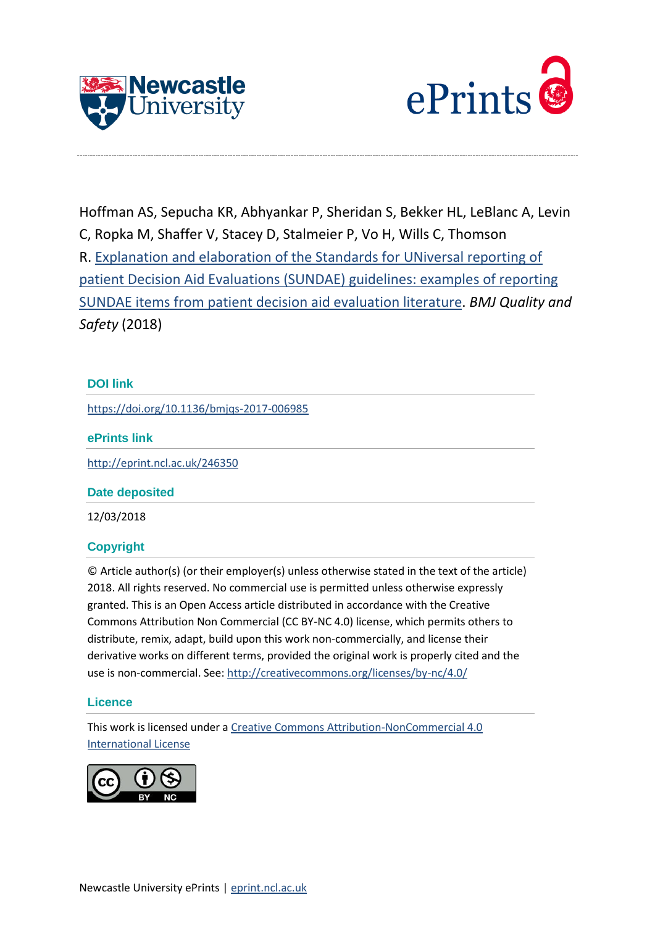



Hoffman AS, Sepucha KR, Abhyankar P, Sheridan S, Bekker HL, LeBlanc A, Levin C, Ropka M, Shaffer V, Stacey D, Stalmeier P, Vo H, Wills C, Thomson R. [Explanation and elaboration of the Standards for UNiversal reporting of](http://eprint.ncl.ac.uk/246350)  [patient Decision Aid Evaluations \(SUNDAE\) guidelines: examples of reporting](http://eprint.ncl.ac.uk/246350)  [SUNDAE items from patient decision aid evaluation literature.](http://eprint.ncl.ac.uk/246350) *BMJ Quality and Safety* (2018)

## **DOI link**

<https://doi.org/10.1136/bmjqs-2017-006985>

**ePrints link**

<http://eprint.ncl.ac.uk/246350>

**Date deposited**

12/03/2018

## **Copyright**

© Article author(s) (or their employer(s) unless otherwise stated in the text of the article) 2018. All rights reserved. No commercial use is permitted unless otherwise expressly granted. This is an Open Access article distributed in accordance with the Creative Commons Attribution Non Commercial (CC BY-NC 4.0) license, which permits others to distribute, remix, adapt, build upon this work non-commercially, and license their derivative works on different terms, provided the original work is properly cited and the use is non-commercial. See: <http://creativecommons.org/licenses/by-nc/4.0/>

## **Licence**

This work is licensed under a [Creative Commons Attribution-NonCommercial 4.0](http://creativecommons.org/licenses/by-nc/4.0/)  [International](http://creativecommons.org/licenses/by-nc/4.0/) License

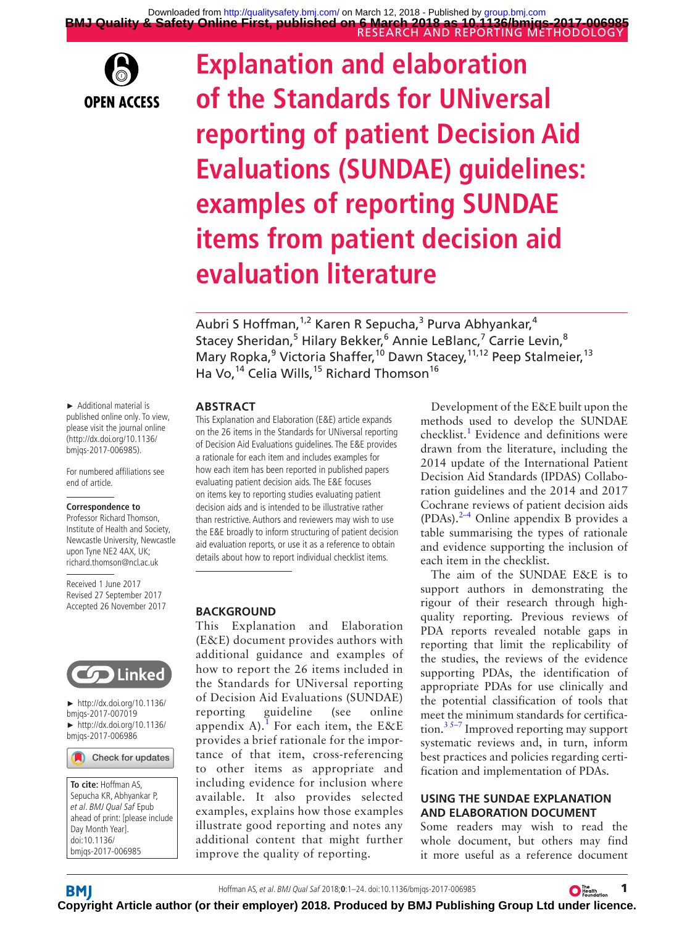Research and Reporting Methodology **BMJ Quality & Safety Online First, published on 6 March 2018 as 10.1136/bmjqs-2017-006985** Downloaded from<http://qualitysafety.bmj.com/>on March 12, 2018 - Published by [group.bmj.com](http://group.bmj.com)



**Explanation and elaboration of the Standards for UNiversal reporting of patient Decision Aid Evaluations (SUNDAE) guidelines: examples of reporting SUNDAE items from patient decision aid evaluation literature**

Aubri S Hoffman,<sup>1,2</sup> Karen R Sepucha,<sup>3</sup> Purva Abhyankar,<sup>4</sup> Stacey Sheridan,<sup>5</sup> Hilary Bekker,<sup>6</sup> Annie LeBlanc,<sup>7</sup> Carrie Levin,<sup>8</sup> Mary Ropka,<sup>9</sup> Victoria Shaffer,<sup>10</sup> Dawn Stacey,<sup>11,12</sup> Peep Stalmeier,<sup>13</sup> Ha Vo, <sup>14</sup> Celia Wills, <sup>15</sup> Richard Thomson<sup>16</sup>

► Additional material is published online only. To view, please visit the journal online (http://dx.doi.org/10.1136/ bmjqs-2017-006985).

For numbered affiliations see end of article.

#### **Correspondence to**

Professor Richard Thomson, Institute of Health and Society, Newcastle University, Newcastle upon Tyne NE2 4AX, UK; richard.thomson@ncl.ac.uk

Received 1 June 2017 Revised 27 September 2017 Accepted 26 November 2017



► [http://dx.doi.org/10.1136/](http://dx.doi.org/10.1136/bmjqs-2017-007019) [bmjqs-2017-007019](http://dx.doi.org/10.1136/bmjqs-2017-007019) ► [http://dx.doi.org/10.1136/](http://dx.doi.org/10.1136/bmjqs-2017-006986) [bmjqs-2017-006986](http://dx.doi.org/10.1136/bmjqs-2017-006986)

Check for updates

**To cite:** Hoffman AS, Sepucha KR, Abhyankar P, et al. BMJ Qual Saf Epub ahead of print: [please include Day Month Year]. doi:10.1136/ bmjqs-2017-006985

BMJ

#### **Abstract**

This Explanation and Elaboration (E&E) article expands on the 26 items in the Standards for UNiversal reporting of Decision Aid Evaluations guidelines. The E&E provides a rationale for each item and includes examples for how each item has been reported in published papers evaluating patient decision aids. The E&E focuses on items key to reporting studies evaluating patient decision aids and is intended to be illustrative rather than restrictive. Authors and reviewers may wish to use the E&E broadly to inform structuring of patient decision aid evaluation reports, or use it as a reference to obtain details about how to report individual checklist items.

#### **BACKGROUND**

This Explanation and Elaboration (E&E) document provides authors with additional guidance and examples of how to report the 26 items included in the Standards for UNiversal reporting of Decision Aid Evaluations (SUNDAE) reporting guideline (see online [appendix A\)](https://dx.doi.org/10.1136/bmjqs-2017-006985).<sup>[1](#page-22-0)</sup> For each item, the E&E provides a brief rationale for the importance of that item, cross-referencing to other items as appropriate and including evidence for inclusion where available. It also provides selected examples, explains how those examples illustrate good reporting and notes any additional content that might further improve the quality of reporting.

Development of the E&E built upon the methods used to develop the SUNDAE checklist.<sup>1</sup> Evidence and definitions were drawn from the literature, including the 2014 update of the International Patient Decision Aid Standards (IPDAS) Collaboration guidelines and the 2014 and 2017 Cochrane reviews of patient decision aids  $(PDAs).<sup>2-4</sup> Online appendix B provides a$  $(PDAs).<sup>2-4</sup> Online appendix B provides a$  $(PDAs).<sup>2-4</sup> Online appendix B provides a$ table summarising the types of rationale and evidence supporting the inclusion of each item in the checklist.

The aim of the SUNDAE E&E is to support authors in demonstrating the rigour of their research through highquality reporting. Previous reviews of PDA reports revealed notable gaps in reporting that limit the replicability of the studies, the reviews of the evidence supporting PDAs, the identification of appropriate PDAs for use clinically and the potential classification of tools that meet the minimum standards for certification. $35-7$  Improved reporting may support systematic reviews and, in turn, inform best practices and policies regarding certification and implementation of PDAs.

### **Using the SUNDAE explanation and elaboration document**

Some readers may wish to read the whole document, but others may find it more useful as a reference document

**[Copyri](http://qualitysafety.bmj.com/)ght Article author (or their employer) 2018. Produced by BMJ Publishing Group Ltd under licence.**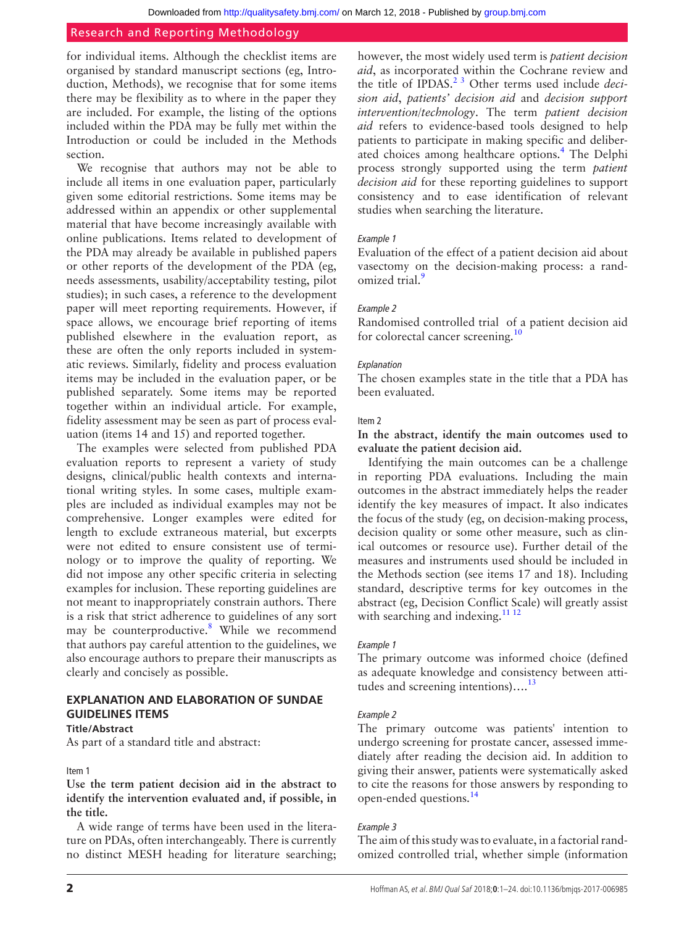for individual items. Although the checklist items are organised by standard manuscript sections (eg, Introduction, Methods), we recognise that for some items there may be flexibility as to where in the paper they are included. For example, the listing of the options included within the PDA may be fully met within the Introduction or could be included in the Methods section.

We recognise that authors may not be able to include all items in one evaluation paper, particularly given some editorial restrictions. Some items may be addressed within an appendix or other supplemental material that have become increasingly available with online publications. Items related to development of the PDA may already be available in published papers or other reports of the development of the PDA (eg, needs assessments, usability/acceptability testing, pilot studies); in such cases, a reference to the development paper will meet reporting requirements. However, if space allows, we encourage brief reporting of items published elsewhere in the evaluation report, as these are often the only reports included in systematic reviews. Similarly, fidelity and process evaluation items may be included in the evaluation paper, or be published separately. Some items may be reported together within an individual article. For example, fidelity assessment may be seen as part of process evaluation (items 14 and 15) and reported together.

The examples were selected from published PDA evaluation reports to represent a variety of study designs, clinical/public health contexts and international writing styles. In some cases, multiple examples are included as individual examples may not be comprehensive. Longer examples were edited for length to exclude extraneous material, but excerpts were not edited to ensure consistent use of terminology or to improve the quality of reporting. We did not impose any other specific criteria in selecting examples for inclusion. These reporting guidelines are not meant to inappropriately constrain authors. There is a risk that strict adherence to guidelines of any sort may be counterproductive.<sup>8</sup> While we recommend that authors pay careful attention to the guidelines, we also encourage authors to prepare their manuscripts as clearly and concisely as possible.

## **Explanation and elaboration of SUNDAE guidelines items**

#### **Title/Abstract**

As part of a standard title and abstract:

#### Item 1

**Use the term patient decision aid in the abstract to identify the intervention evaluated and, if possible, in the title.**

A wide range of terms have been used in the literature on PDAs, often interchangeably. There is currently no distinct MESH heading for literature searching;

however, the most widely used term is *patient decision aid*, as incorporated within the Cochrane review and the title of IPDAS.[2 3](#page-22-1) Other terms used include *decision aid*, *patients' decision aid* and *decision support intervention/technology*. The term *patient decision aid* refers to evidence-based tools designed to help patients to participate in making specific and deliber-ated choices among healthcare options.<sup>[4](#page-22-4)</sup> The Delphi process strongly supported using the term *patient decision aid* for these reporting guidelines to support consistency and to ease identification of relevant studies when searching the literature.

#### *Example 1*

Evaluation of the effect of a patient decision aid about vasectomy on the decision-making process: a rand-omized trial.<sup>[9](#page-22-5)</sup>

#### *Example 2*

Randomised controlled trial of a patient decision aid for colorectal cancer screening.<sup>10</sup>

#### *Explanation*

The chosen examples state in the title that a PDA has been evaluated.

#### Item 2

**In the abstract, identify the main outcomes used to evaluate the patient decision aid.**

Identifying the main outcomes can be a challenge in reporting PDA evaluations. Including the main outcomes in the abstract immediately helps the reader identify the key measures of impact. It also indicates the focus of the study (eg, on decision-making process, decision quality or some other measure, such as clinical outcomes or resource use). Further detail of the measures and instruments used should be included in the Methods section (see items 17 and 18). Including standard, descriptive terms for key outcomes in the abstract (eg, Decision Conflict Scale) will greatly assist with searching and indexing. $1112$ 

#### *Example 1*

The primary outcome was informed choice (defined as adequate knowledge and consistency between attitudes and screening intentions).... $^{13}$  $^{13}$  $^{13}$ 

#### *Example 2*

The primary outcome was patients' intention to undergo screening for prostate cancer, assessed immediately after reading the decision aid. In addition to giving their answer, patients were systematically asked to cite the reasons for those answers by responding to open-ended questions.[14](#page-22-9)

#### *Example 3*

The aim of this study was to evaluate, in a factorial randomized controlled trial, whether simple (information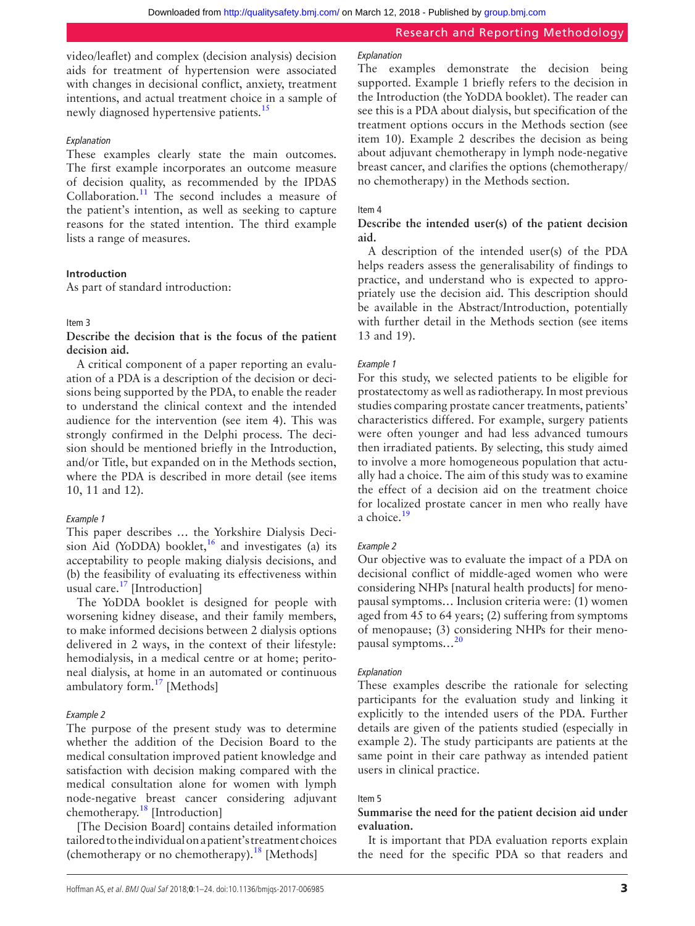video/leaflet) and complex (decision analysis) decision aids for treatment of hypertension were associated with changes in decisional conflict, anxiety, treatment intentions, and actual treatment choice in a sample of newly diagnosed hypertensive patients.<sup>[15](#page-22-10)</sup>

### *Explanation*

These examples clearly state the main outcomes. The first example incorporates an outcome measure of decision quality, as recommended by the IPDAS Collaboration[.11](#page-22-7) The second includes a measure of the patient's intention, as well as seeking to capture reasons for the stated intention. The third example lists a range of measures.

### **Introduction**

As part of standard introduction:

### Item 3

**Describe the decision that is the focus of the patient decision aid.**

A critical component of a paper reporting an evaluation of a PDA is a description of the decision or decisions being supported by the PDA, to enable the reader to understand the clinical context and the intended audience for the intervention (see item 4). This was strongly confirmed in the Delphi process. The decision should be mentioned briefly in the Introduction, and/or Title, but expanded on in the Methods section, where the PDA is described in more detail (see items 10, 11 and 12).

## *Example 1*

This paper describes … the Yorkshire Dialysis Decision Aid (YoDDA) booklet, $16$  and investigates (a) its acceptability to people making dialysis decisions, and (b) the feasibility of evaluating its effectiveness within usual care. $17$  [Introduction]

The YoDDA booklet is designed for people with worsening kidney disease, and their family members, to make informed decisions between 2 dialysis options delivered in 2 ways, in the context of their lifestyle: hemodialysis, in a medical centre or at home; peritoneal dialysis, at home in an automated or continuous ambulatory form. $17$  [Methods]

## *Example 2*

The purpose of the present study was to determine whether the addition of the Decision Board to the medical consultation improved patient knowledge and satisfaction with decision making compared with the medical consultation alone for women with lymph node-negative breast cancer considering adjuvant chemotherapy.<sup>[18](#page-22-13)</sup> [Introduction]

[The Decision Board] contains detailed information tailored to the individual on a patient's treatment choices (chemotherapy or no chemotherapy).<sup>[18](#page-22-13)</sup> [Methods]

### *Explanation*

The examples demonstrate the decision being supported. Example 1 briefly refers to the decision in the Introduction (the YoDDA booklet). The reader can see this is a PDA about dialysis, but specification of the treatment options occurs in the Methods section (see item 10). Example 2 describes the decision as being about adjuvant chemotherapy in lymph node-negative breast cancer, and clarifies the options (chemotherapy/ no chemotherapy) in the Methods section.

### Item 4

### **Describe the intended user(s) of the patient decision aid.**

A description of the intended user(s) of the PDA helps readers assess the generalisability of findings to practice, and understand who is expected to appropriately use the decision aid. This description should be available in the Abstract/Introduction, potentially with further detail in the Methods section (see items 13 and 19).

## *Example 1*

For this study, we selected patients to be eligible for prostatectomy as well as radiotherapy. In most previous studies comparing prostate cancer treatments, patients' characteristics differed. For example, surgery patients were often younger and had less advanced tumours then irradiated patients. By selecting, this study aimed to involve a more homogeneous population that actually had a choice. The aim of this study was to examine the effect of a decision aid on the treatment choice for localized prostate cancer in men who really have a choice.<sup>19</sup>

## *Example 2*

Our objective was to evaluate the impact of a PDA on decisional conflict of middle-aged women who were considering NHPs [natural health products] for menopausal symptoms… Inclusion criteria were: (1) women aged from 45 to 64 years; (2) suffering from symptoms of menopause; (3) considering NHPs for their menopausal symptoms…[20](#page-22-15)

#### *Explanation*

These examples describe the rationale for selecting participants for the evaluation study and linking it explicitly to the intended users of the PDA. Further details are given of the patients studied (especially in example 2). The study participants are patients at the same point in their care pathway as intended patient users in clinical practice.

#### Item 5

## **Summarise the need for the patient decision aid under evaluation.**

It is important that PDA evaluation reports explain the need for the specific PDA so that readers and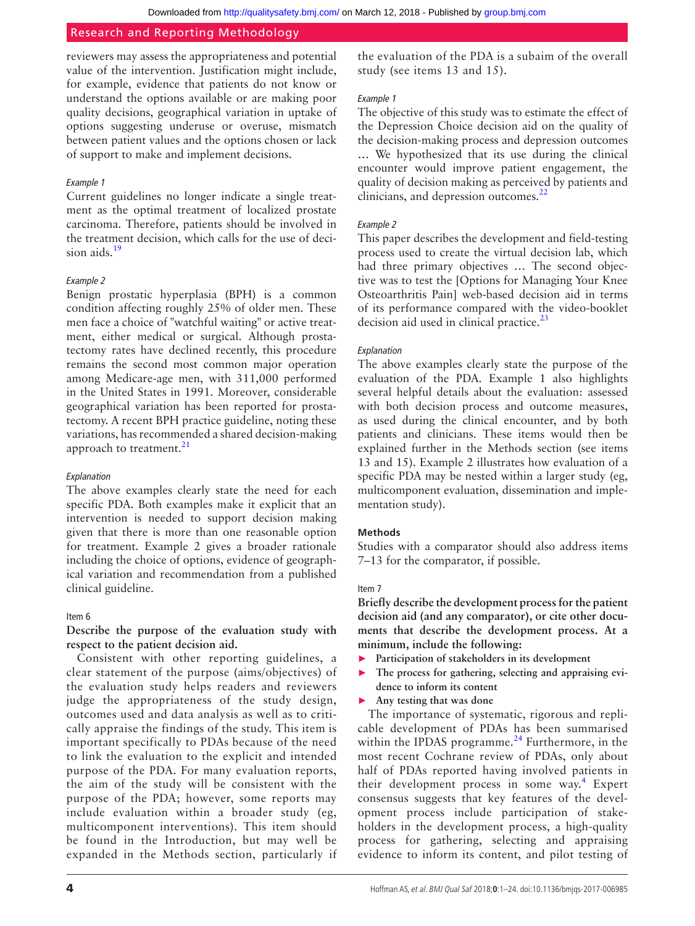reviewers may assess the appropriateness and potential value of the intervention. Justification might include, for example, evidence that patients do not know or understand the options available or are making poor quality decisions, geographical variation in uptake of options suggesting underuse or overuse, mismatch between patient values and the options chosen or lack of support to make and implement decisions.

### *Example 1*

Current guidelines no longer indicate a single treatment as the optimal treatment of localized prostate carcinoma. Therefore, patients should be involved in the treatment decision, which calls for the use of decision aids. $19$ 

### *Example 2*

Benign prostatic hyperplasia (BPH) is a common condition affecting roughly 25% of older men. These men face a choice of "watchful waiting" or active treatment, either medical or surgical. Although prostatectomy rates have declined recently, this procedure remains the second most common major operation among Medicare-age men, with 311,000 performed in the United States in 1991. Moreover, considerable geographical variation has been reported for prostatectomy. A recent BPH practice guideline, noting these variations, has recommended a shared decision-making approach to treatment. $^{21}$  $^{21}$  $^{21}$ 

## *Explanation*

The above examples clearly state the need for each specific PDA. Both examples make it explicit that an intervention is needed to support decision making given that there is more than one reasonable option for treatment. Example 2 gives a broader rationale including the choice of options, evidence of geographical variation and recommendation from a published clinical guideline.

## Item 6

**Describe the purpose of the evaluation study with respect to the patient decision aid.**

Consistent with other reporting guidelines, a clear statement of the purpose (aims/objectives) of the evaluation study helps readers and reviewers judge the appropriateness of the study design, outcomes used and data analysis as well as to critically appraise the findings of the study. This item is important specifically to PDAs because of the need to link the evaluation to the explicit and intended purpose of the PDA. For many evaluation reports, the aim of the study will be consistent with the purpose of the PDA; however, some reports may include evaluation within a broader study (eg, multicomponent interventions). This item should be found in the Introduction, but may well be expanded in the Methods section, particularly if

the evaluation of the PDA is a subaim of the overall study (see items 13 and 15).

### *Example 1*

The objective of this study was to estimate the effect of the Depression Choice decision aid on the quality of the decision-making process and depression outcomes … We hypothesized that its use during the clinical encounter would improve patient engagement, the quality of decision making as perceived by patients and clinicians, and depression outcomes. $^{22}$ 

### *Example 2*

This paper describes the development and field-testing process used to create the virtual decision lab, which had three primary objectives … The second objective was to test the [Options for Managing Your Knee Osteoarthritis Pain] web-based decision aid in terms of its performance compared with the video-booklet decision aid used in clinical practice. $^{23}$  $^{23}$  $^{23}$ 

## *Explanation*

The above examples clearly state the purpose of the evaluation of the PDA. Example 1 also highlights several helpful details about the evaluation: assessed with both decision process and outcome measures, as used during the clinical encounter, and by both patients and clinicians. These items would then be explained further in the Methods section (see items 13 and 15). Example 2 illustrates how evaluation of a specific PDA may be nested within a larger study (eg, multicomponent evaluation, dissemination and implementation study).

#### **Methods**

Studies with a comparator should also address items 7–13 for the comparator, if possible.

#### Item 7

**Briefly describe the development process for the patient decision aid (and any comparator), or cite other documents that describe the development process. At a minimum, include the following:**

- ► **Participation of stakeholders in its development**
- ► **The process for gathering, selecting and appraising evidence to inform its content**
- ► **Any testing that was done**

The importance of systematic, rigorous and replicable development of PDAs has been summarised within the IPDAS programme. $^{24}$  $^{24}$  $^{24}$  Furthermore, in the most recent Cochrane review of PDAs, only about half of PDAs reported having involved patients in their development process in some way.<sup>[4](#page-22-4)</sup> Expert consensus suggests that key features of the development process include participation of stakeholders in the development process, a high-quality process for gathering, selecting and appraising evidence to inform its content, and pilot testing of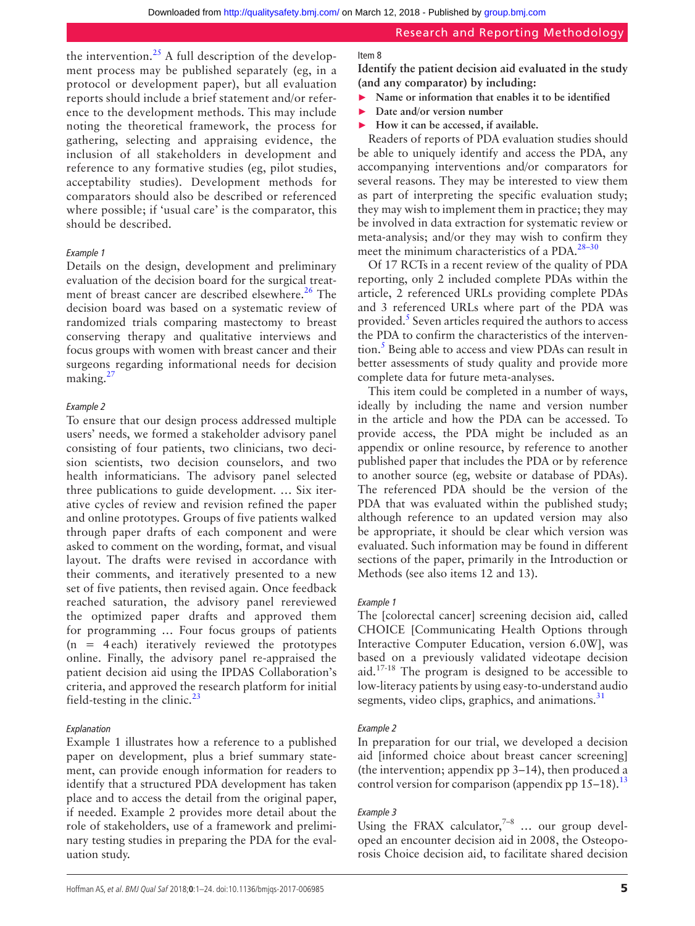the intervention.<sup>25</sup> A full description of the development process may be published separately (eg, in a protocol or development paper), but all evaluation reports should include a brief statement and/or reference to the development methods. This may include noting the theoretical framework, the process for gathering, selecting and appraising evidence, the inclusion of all stakeholders in development and reference to any formative studies (eg, pilot studies, acceptability studies). Development methods for comparators should also be described or referenced where possible; if 'usual care' is the comparator, this should be described.

#### *Example 1*

Details on the design, development and preliminary evaluation of the decision board for the surgical treatment of breast cancer are described elsewhere. $^{26}$  $^{26}$  $^{26}$  The decision board was based on a systematic review of randomized trials comparing mastectomy to breast conserving therapy and qualitative interviews and focus groups with women with breast cancer and their surgeons regarding informational needs for decision making. $27$ 

#### *Example 2*

To ensure that our design process addressed multiple users' needs, we formed a stakeholder advisory panel consisting of four patients, two clinicians, two decision scientists, two decision counselors, and two health informaticians. The advisory panel selected three publications to guide development. … Six iterative cycles of review and revision refined the paper and online prototypes. Groups of five patients walked through paper drafts of each component and were asked to comment on the wording, format, and visual layout. The drafts were revised in accordance with their comments, and iteratively presented to a new set of five patients, then revised again. Once feedback reached saturation, the advisory panel rereviewed the optimized paper drafts and approved them for programming … Four focus groups of patients  $(n = 4$  each) iteratively reviewed the prototypes online. Finally, the advisory panel re-appraised the patient decision aid using the IPDAS Collaboration's criteria, and approved the research platform for initial field-testing in the clinic. $^{23}$  $^{23}$  $^{23}$ 

### *Explanation*

Example 1 illustrates how a reference to a published paper on development, plus a brief summary statement, can provide enough information for readers to identify that a structured PDA development has taken place and to access the detail from the original paper, if needed. Example 2 provides more detail about the role of stakeholders, use of a framework and preliminary testing studies in preparing the PDA for the evaluation study.

#### Item 8

**Identify the patient decision aid evaluated in the study (and any comparator) by including:**

- ► **Name or information that enables it to be identified**
- Date and/or version number
- ► **How it can be accessed, if available.**

Readers of reports of PDA evaluation studies should be able to uniquely identify and access the PDA, any accompanying interventions and/or comparators for several reasons. They may be interested to view them as part of interpreting the specific evaluation study; they may wish to implement them in practice; they may be involved in data extraction for systematic review or meta-analysis; and/or they may wish to confirm they meet the minimum characteristics of a PDA.<sup>28-30</sup>

Of 17 RCTs in a recent review of the quality of PDA reporting, only 2 included complete PDAs within the article, 2 referenced URLs providing complete PDAs and 3 referenced URLs where part of the PDA was provided.<sup>[5](#page-22-23)</sup> Seven articles required the authors to access the PDA to confirm the characteristics of the interven-tion.<sup>[5](#page-22-23)</sup> Being able to access and view PDAs can result in better assessments of study quality and provide more complete data for future meta-analyses.

This item could be completed in a number of ways, ideally by including the name and version number in the article and how the PDA can be accessed. To provide access, the PDA might be included as an appendix or online resource, by reference to another published paper that includes the PDA or by reference to another source (eg, website or database of PDAs). The referenced PDA should be the version of the PDA that was evaluated within the published study; although reference to an updated version may also be appropriate, it should be clear which version was evaluated. Such information may be found in different sections of the paper, primarily in the Introduction or Methods (see also items 12 and 13).

#### *Example 1*

The [colorectal cancer] screening decision aid, called CHOICE [Communicating Health Options through Interactive Computer Education, version 6.0W], was based on a previously validated videotape decision aid.17-18 The program is designed to be accessible to low-literacy patients by using easy-to-understand audio segments, video clips, graphics, and animations.<sup>31</sup>

#### *Example 2*

In preparation for our trial, we developed a decision aid [informed choice about breast cancer screening] (the intervention; appendix pp 3–14), then produced a control version for comparison (appendix pp  $15-18$ ).<sup>[13](#page-22-8)</sup>

#### *Example 3*

Using the FRAX calculator,<sup>7-8</sup> ... our group developed an encounter decision aid in 2008, the Osteoporosis Choice decision aid, to facilitate shared decision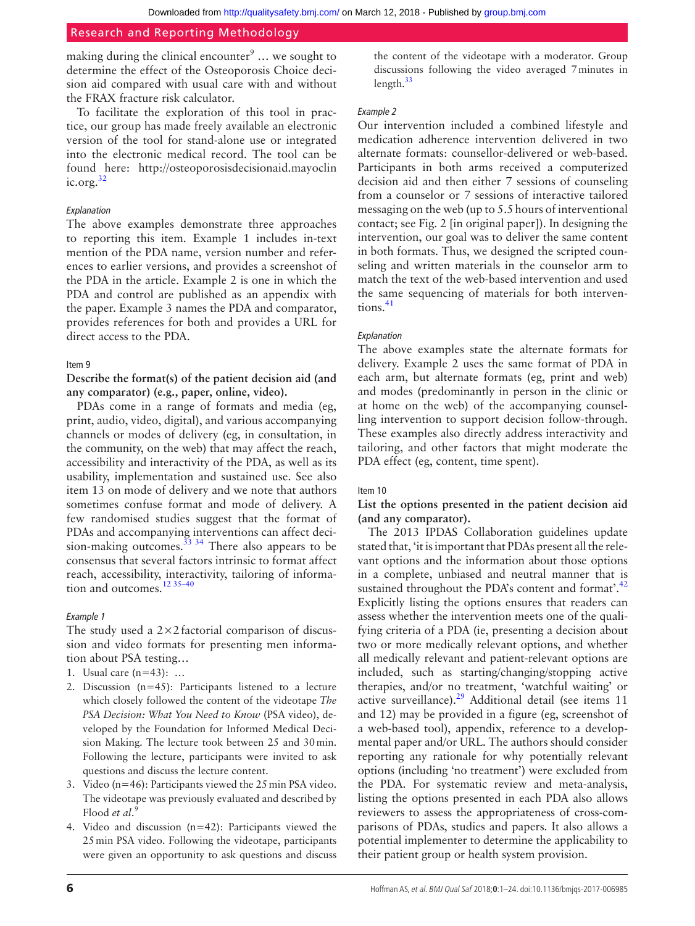making during the clinical encounter<sup>9</sup> ... we sought to determine the effect of the Osteoporosis Choice decision aid compared with usual care with and without the FRAX fracture risk calculator.

To facilitate the exploration of this tool in practice, our group has made freely available an electronic version of the tool for stand-alone use or integrated into the electronic medical record. The tool can be found here: [http://osteoporosisdecisionaid.mayoclin](http://osteoporosisdecisionaid.mayoclinic.org.) ic.org $^{32}$  $^{32}$  $^{32}$ 

## *Explanation*

The above examples demonstrate three approaches to reporting this item. Example 1 includes in-text mention of the PDA name, version number and references to earlier versions, and provides a screenshot of the PDA in the article. Example 2 is one in which the PDA and control are published as an appendix with the paper. Example 3 names the PDA and comparator, provides references for both and provides a URL for direct access to the PDA.

## Item 9

## **Describe the format(s) of the patient decision aid (and any comparator) (e.g., paper, online, video).**

PDAs come in a range of formats and media (eg, print, audio, video, digital), and various accompanying channels or modes of delivery (eg, in consultation, in the community, on the web) that may affect the reach, accessibility and interactivity of the PDA, as well as its usability, implementation and sustained use. See also item 13 on mode of delivery and we note that authors sometimes confuse format and mode of delivery. A few randomised studies suggest that the format of PDAs and accompanying interventions can affect decision-making outcomes.  $\frac{33}{33}$  34 There also appears to be consensus that several factors intrinsic to format affect reach, accessibility, interactivity, tailoring of information and outcomes.<sup>12 35-40</sup>

## *Example 1*

The study used a  $2\times2$  factorial comparison of discussion and video formats for presenting men information about PSA testing…

- 1. Usual care (n=43): …
- 2. Discussion (n=45): Participants listened to a lecture which closely followed the content of the videotape *The PSA Decision: What You Need to Know* (PSA video), developed by the Foundation for Informed Medical Decision Making. The lecture took between 25 and 30min. Following the lecture, participants were invited to ask questions and discuss the lecture content.
- 3. Video (n=46): Participants viewed the 25min PSA video. The videotape was previously evaluated and described by Flood *et al*. 9
- 4. Video and discussion (n=42): Participants viewed the 25min PSA video. Following the videotape, participants were given an opportunity to ask questions and discuss

the content of the videotape with a moderator. Group discussions following the video averaged 7minutes in length. $33$ 

### *Example 2*

Our intervention included a combined lifestyle and medication adherence intervention delivered in two alternate formats: counsellor-delivered or web-based. Participants in both arms received a computerized decision aid and then either 7 sessions of counseling from a counselor or 7 sessions of interactive tailored messaging on the web (up to 5.5hours of interventional contact; see Fig. 2 [in original paper]). In designing the intervention, our goal was to deliver the same content in both formats. Thus, we designed the scripted counseling and written materials in the counselor arm to match the text of the web-based intervention and used the same sequencing of materials for both interven-tions.<sup>[41](#page-23-4)</sup>

## *Explanation*

The above examples state the alternate formats for delivery. Example 2 uses the same format of PDA in each arm, but alternate formats (eg, print and web) and modes (predominantly in person in the clinic or at home on the web) of the accompanying counselling intervention to support decision follow-through. These examples also directly address interactivity and tailoring, and other factors that might moderate the PDA effect (eg, content, time spent).

## Item 10

## **List the options presented in the patient decision aid (and any comparator).**

The 2013 IPDAS Collaboration guidelines update stated that, 'it is important that PDAs present all the relevant options and the information about those options in a complete, unbiased and neutral manner that is sustained throughout the PDA's content and format'.<sup>[42](#page-23-5)</sup> Explicitly listing the options ensures that readers can assess whether the intervention meets one of the qualifying criteria of a PDA (ie, presenting a decision about two or more medically relevant options, and whether all medically relevant and patient-relevant options are included, such as starting/changing/stopping active therapies, and/or no treatment, 'watchful waiting' or active surveillance). $29$  Additional detail (see items 11 and 12) may be provided in a figure (eg, screenshot of a web-based tool), appendix, reference to a developmental paper and/or URL. The authors should consider reporting any rationale for why potentially relevant options (including 'no treatment') were excluded from the PDA. For systematic review and meta-analysis, listing the options presented in each PDA also allows reviewers to assess the appropriateness of cross-comparisons of PDAs, studies and papers. It also allows a potential implementer to determine the applicability to their patient group or health system provision.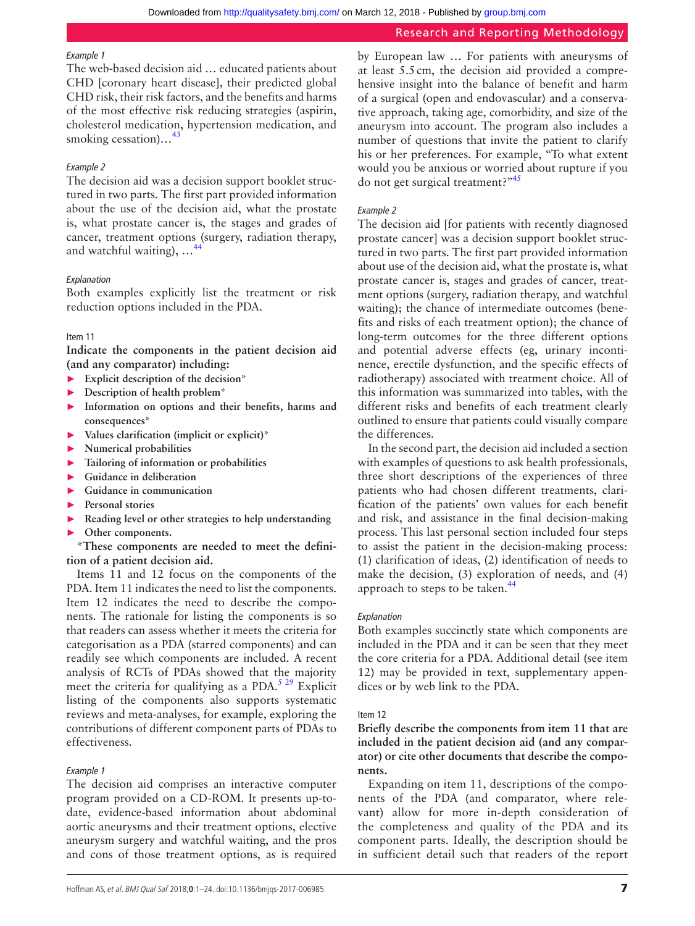#### *Example 1*

The web-based decision aid … educated patients about CHD [coronary heart disease], their predicted global CHD risk, their risk factors, and the benefits and harms of the most effective risk reducing strategies (aspirin, cholesterol medication, hypertension medication, and smoking cessation)...<sup>[43](#page-23-7)</sup>

#### *Example 2*

The decision aid was a decision support booklet structured in two parts. The first part provided information about the use of the decision aid, what the prostate is, what prostate cancer is, the stages and grades of cancer, treatment options (surgery, radiation therapy, and watchful waiting),  $\dots$ <sup>[44](#page-23-8)</sup>

#### *Explanation*

Both examples explicitly list the treatment or risk reduction options included in the PDA.

#### Item 11

**Indicate the components in the patient decision aid (and any comparator) including:**

- ► **Explicit description of the decision\***
- ► **Description of health problem\***
- ► **Information on options and their benefits, harms and consequences\***
- ► **Values clarification (implicit or explicit)\***
- ► **Numerical probabilities**
- ► **Tailoring of information or probabilities**
- ► **Guidance in deliberation**
- ► **Guidance in communication**
- ► **Personal stories**
- ► **Reading level or other strategies to help understanding**
- ► **Other components.**

**\*These components are needed to meet the definition of a patient decision aid.**

Items 11 and 12 focus on the components of the PDA. Item 11 indicates the need to list the components. Item 12 indicates the need to describe the components. The rationale for listing the components is so that readers can assess whether it meets the criteria for categorisation as a PDA (starred components) and can readily see which components are included. A recent analysis of RCTs of PDAs showed that the majority meet the criteria for qualifying as a PDA. $529$  Explicit listing of the components also supports systematic reviews and meta-analyses, for example, exploring the contributions of different component parts of PDAs to effectiveness.

#### *Example 1*

The decision aid comprises an interactive computer program provided on a CD-ROM. It presents up-todate, evidence-based information about abdominal aortic aneurysms and their treatment options, elective aneurysm surgery and watchful waiting, and the pros and cons of those treatment options, as is required by European law … For patients with aneurysms of at least 5.5cm, the decision aid provided a comprehensive insight into the balance of benefit and harm of a surgical (open and endovascular) and a conservative approach, taking age, comorbidity, and size of the aneurysm into account. The program also includes a number of questions that invite the patient to clarify his or her preferences. For example, "To what extent would you be anxious or worried about rupture if you do not get surgical treatment?"[45](#page-23-9)

#### *Example 2*

The decision aid [for patients with recently diagnosed prostate cancer] was a decision support booklet structured in two parts. The first part provided information about use of the decision aid, what the prostate is, what prostate cancer is, stages and grades of cancer, treatment options (surgery, radiation therapy, and watchful waiting); the chance of intermediate outcomes (benefits and risks of each treatment option); the chance of long-term outcomes for the three different options and potential adverse effects (eg, urinary incontinence, erectile dysfunction, and the specific effects of radiotherapy) associated with treatment choice. All of this information was summarized into tables, with the different risks and benefits of each treatment clearly outlined to ensure that patients could visually compare the differences.

In the second part, the decision aid included a section with examples of questions to ask health professionals, three short descriptions of the experiences of three patients who had chosen different treatments, clarification of the patients' own values for each benefit and risk, and assistance in the final decision-making process. This last personal section included four steps to assist the patient in the decision-making process: (1) clarification of ideas, (2) identification of needs to make the decision, (3) exploration of needs, and (4) approach to steps to be taken.<sup>44</sup>

#### *Explanation*

Both examples succinctly state which components are included in the PDA and it can be seen that they meet the core criteria for a PDA. Additional detail (see item 12) may be provided in text, supplementary appendices or by web link to the PDA.

#### Item 12

**Briefly describe the components from item 11 that are included in the patient decision aid (and any comparator) or cite other documents that describe the components.**

Expanding on item 11, descriptions of the components of the PDA (and comparator, where relevant) allow for more in-depth consideration of the completeness and quality of the PDA and its component parts. Ideally, the description should be in sufficient detail such that readers of the report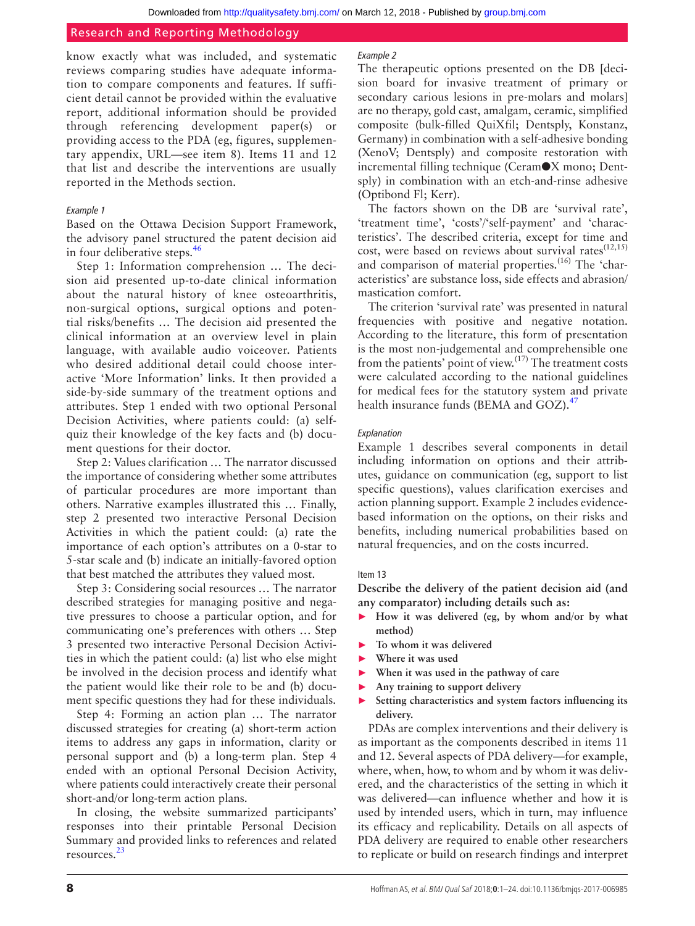know exactly what was included, and systematic reviews comparing studies have adequate information to compare components and features. If sufficient detail cannot be provided within the evaluative report, additional information should be provided through referencing development paper(s) or providing access to the PDA (eg, figures, supplementary appendix, URL—see item 8). Items 11 and 12 that list and describe the interventions are usually reported in the Methods section.

### *Example 1*

Based on the Ottawa Decision Support Framework, the advisory panel structured the patent decision aid in four deliberative steps.<sup>46</sup>

Step 1: Information comprehension … The decision aid presented up-to-date clinical information about the natural history of knee osteoarthritis, non-surgical options, surgical options and potential risks/benefits … The decision aid presented the clinical information at an overview level in plain language, with available audio voiceover. Patients who desired additional detail could choose interactive 'More Information' links. It then provided a side-by-side summary of the treatment options and attributes. Step 1 ended with two optional Personal Decision Activities, where patients could: (a) selfquiz their knowledge of the key facts and (b) document questions for their doctor.

Step 2: Values clarification … The narrator discussed the importance of considering whether some attributes of particular procedures are more important than others. Narrative examples illustrated this … Finally, step 2 presented two interactive Personal Decision Activities in which the patient could: (a) rate the importance of each option's attributes on a 0-star to 5-star scale and (b) indicate an initially-favored option that best matched the attributes they valued most.

Step 3: Considering social resources … The narrator described strategies for managing positive and negative pressures to choose a particular option, and for communicating one's preferences with others … Step 3 presented two interactive Personal Decision Activities in which the patient could: (a) list who else might be involved in the decision process and identify what the patient would like their role to be and (b) document specific questions they had for these individuals.

Step 4: Forming an action plan … The narrator discussed strategies for creating (a) short-term action items to address any gaps in information, clarity or personal support and (b) a long-term plan. Step 4 ended with an optional Personal Decision Activity, where patients could interactively create their personal short-and/or long-term action plans.

In closing, the website summarized participants' responses into their printable Personal Decision Summary and provided links to references and related resources.<sup>[23](#page-22-18)</sup>

### *Example 2*

The therapeutic options presented on the DB [decision board for invasive treatment of primary or secondary carious lesions in pre-molars and molars] are no therapy, gold cast, amalgam, ceramic, simplified composite (bulk-filled QuiXfil; Dentsply, Konstanz, Germany) in combination with a self-adhesive bonding (XenoV; Dentsply) and composite restoration with incremental filling technique (Ceram●X mono; Dentsply) in combination with an etch-and-rinse adhesive (Optibond Fl; Kerr).

The factors shown on the DB are 'survival rate', 'treatment time', 'costs'/'self-payment' and 'characteristics'. The described criteria, except for time and cost, were based on reviews about survival rates $(12,15)$ and comparison of material properties. $(16)$  The 'characteristics' are substance loss, side effects and abrasion/ mastication comfort.

The criterion 'survival rate' was presented in natural frequencies with positive and negative notation. According to the literature, this form of presentation is the most non-judgemental and comprehensible one from the patients' point of view.<sup> $(17)$ </sup> The treatment costs were calculated according to the national guidelines for medical fees for the statutory system and private health insurance funds (BEMA and GOZ).<sup>47</sup>

### *Explanation*

Example 1 describes several components in detail including information on options and their attributes, guidance on communication (eg, support to list specific questions), values clarification exercises and action planning support. Example 2 includes evidencebased information on the options, on their risks and benefits, including numerical probabilities based on natural frequencies, and on the costs incurred.

#### Item 13

**Describe the delivery of the patient decision aid (and any comparator) including details such as:**

- ► **How it was delivered (eg, by whom and/or by what method)**
- ► **To whom it was delivered**
- ► **Where it was used**
- ► **When it was used in the pathway of care**
- ► **Any training to support delivery**
- ► **Setting characteristics and system factors influencing its delivery.**

PDAs are complex interventions and their delivery is as important as the components described in items 11 and 12. Several aspects of PDA delivery—for example, where, when, how, to whom and by whom it was delivered, and the characteristics of the setting in which it was delivered—can influence whether and how it is used by intended users, which in turn, may influence its efficacy and replicability. Details on all aspects of PDA delivery are required to enable other researchers to replicate or build on research findings and interpret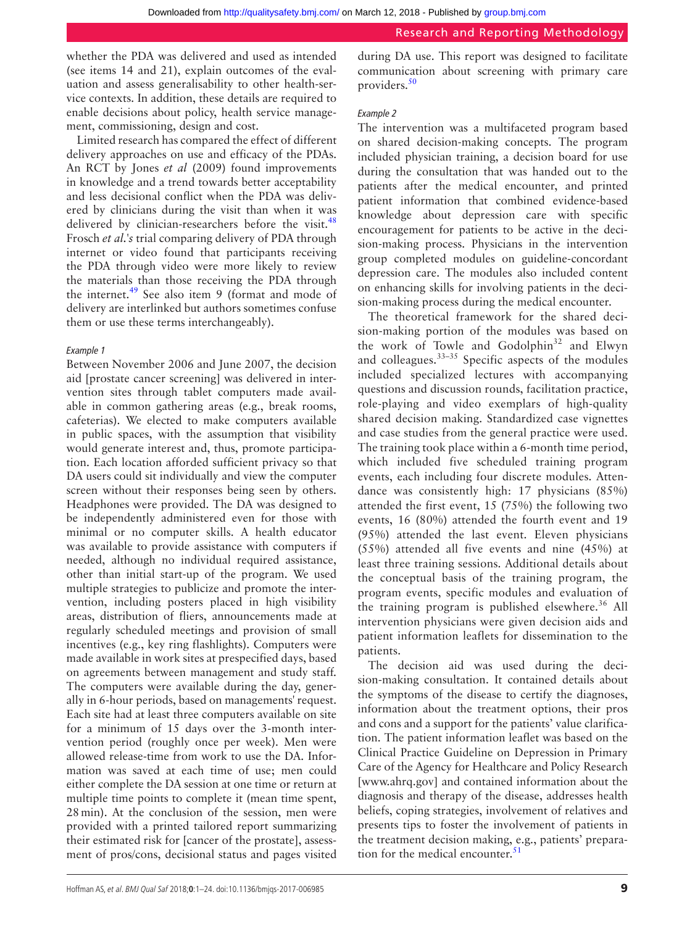whether the PDA was delivered and used as intended (see items 14 and 21), explain outcomes of the evaluation and assess generalisability to other health-service contexts. In addition, these details are required to enable decisions about policy, health service management, commissioning, design and cost.

Limited research has compared the effect of different delivery approaches on use and efficacy of the PDAs. An RCT by Jones *et al* (2009) found improvements in knowledge and a trend towards better acceptability and less decisional conflict when the PDA was delivered by clinicians during the visit than when it was delivered by clinician-researchers before the visit.<sup>[48](#page-23-12)</sup> Frosch *et al.'s* trial comparing delivery of PDA through internet or video found that participants receiving the PDA through video were more likely to review the materials than those receiving the PDA through the internet.<sup>49</sup> See also item 9 (format and mode of delivery are interlinked but authors sometimes confuse them or use these terms interchangeably).

#### *Example 1*

Between November 2006 and June 2007, the decision aid [prostate cancer screening] was delivered in intervention sites through tablet computers made available in common gathering areas (e.g., break rooms, cafeterias). We elected to make computers available in public spaces, with the assumption that visibility would generate interest and, thus, promote participation. Each location afforded sufficient privacy so that DA users could sit individually and view the computer screen without their responses being seen by others. Headphones were provided. The DA was designed to be independently administered even for those with minimal or no computer skills. A health educator was available to provide assistance with computers if needed, although no individual required assistance, other than initial start-up of the program. We used multiple strategies to publicize and promote the intervention, including posters placed in high visibility areas, distribution of fliers, announcements made at regularly scheduled meetings and provision of small incentives (e.g., key ring flashlights). Computers were made available in work sites at prespecified days, based on agreements between management and study staff. The computers were available during the day, generally in 6-hour periods, based on managements' request. Each site had at least three computers available on site for a minimum of 15 days over the 3-month intervention period (roughly once per week). Men were allowed release-time from work to use the DA. Information was saved at each time of use; men could either complete the DA session at one time or return at multiple time points to complete it (mean time spent, 28min). At the conclusion of the session, men were provided with a printed tailored report summarizing their estimated risk for [cancer of the prostate], assessment of pros/cons, decisional status and pages visited during DA use. This report was designed to facilitate communication about screening with primary care providers.<sup>[50](#page-23-14)</sup>

### *Example 2*

The intervention was a multifaceted program based on shared decision-making concepts. The program included physician training, a decision board for use during the consultation that was handed out to the patients after the medical encounter, and printed patient information that combined evidence-based knowledge about depression care with specific encouragement for patients to be active in the decision-making process. Physicians in the intervention group completed modules on guideline-concordant depression care. The modules also included content on enhancing skills for involving patients in the decision-making process during the medical encounter.

The theoretical framework for the shared decision-making portion of the modules was based on the work of Towle and Godolphin<sup>32</sup> and Elwyn and colleagues. $33-35$  Specific aspects of the modules included specialized lectures with accompanying questions and discussion rounds, facilitation practice, role-playing and video exemplars of high-quality shared decision making. Standardized case vignettes and case studies from the general practice were used. The training took place within a 6-month time period, which included five scheduled training program events, each including four discrete modules. Attendance was consistently high: 17 physicians (85%) attended the first event, 15 (75%) the following two events, 16 (80%) attended the fourth event and 19 (95%) attended the last event. Eleven physicians (55%) attended all five events and nine (45%) at least three training sessions. Additional details about the conceptual basis of the training program, the program events, specific modules and evaluation of the training program is published elsewhere.<sup>36</sup> All intervention physicians were given decision aids and patient information leaflets for dissemination to the patients.

The decision aid was used during the decision-making consultation. It contained details about the symptoms of the disease to certify the diagnoses, information about the treatment options, their pros and cons and a support for the patients' value clarification. The patient information leaflet was based on the Clinical Practice Guideline on Depression in Primary Care of the Agency for Healthcare and Policy Research [www.ahrq.gov] and contained information about the diagnosis and therapy of the disease, addresses health beliefs, coping strategies, involvement of relatives and presents tips to foster the involvement of patients in the treatment decision making, e.g., patients' preparation for the medical encounter.<sup>5</sup>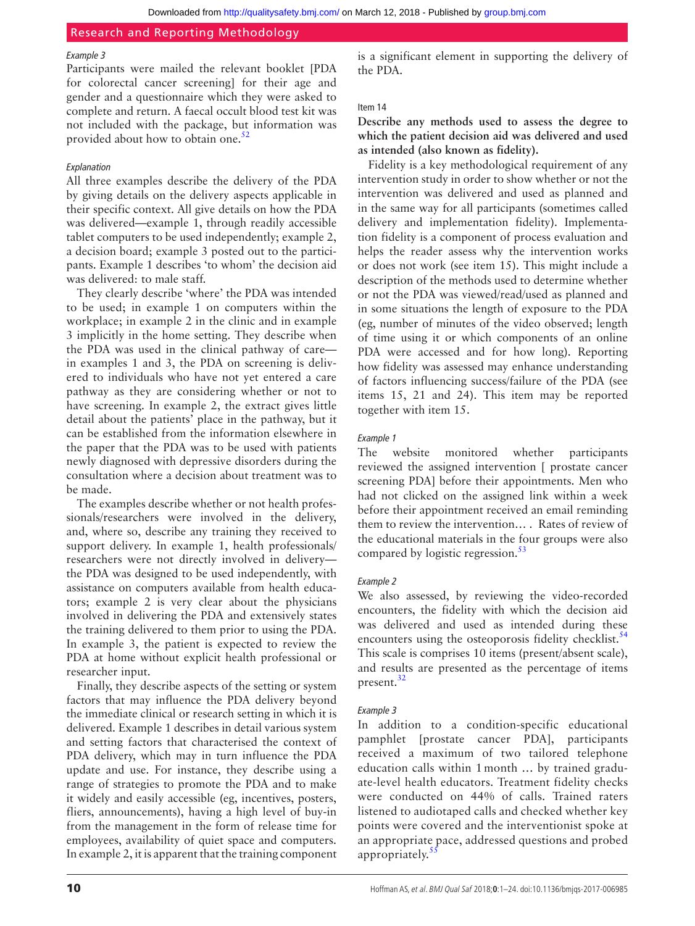#### *Example 3*

Participants were mailed the relevant booklet [PDA for colorectal cancer screening] for their age and gender and a questionnaire which they were asked to complete and return. A faecal occult blood test kit was not included with the package, but information was provided about how to obtain one.<sup>[52](#page-23-16)</sup>

### *Explanation*

All three examples describe the delivery of the PDA by giving details on the delivery aspects applicable in their specific context. All give details on how the PDA was delivered—example 1, through readily accessible tablet computers to be used independently; example 2, a decision board; example 3 posted out to the participants. Example 1 describes 'to whom' the decision aid was delivered: to male staff.

They clearly describe 'where' the PDA was intended to be used; in example 1 on computers within the workplace; in example 2 in the clinic and in example 3 implicitly in the home setting. They describe when the PDA was used in the clinical pathway of care in examples 1 and 3, the PDA on screening is delivered to individuals who have not yet entered a care pathway as they are considering whether or not to have screening. In example 2, the extract gives little detail about the patients' place in the pathway, but it can be established from the information elsewhere in the paper that the PDA was to be used with patients newly diagnosed with depressive disorders during the consultation where a decision about treatment was to be made.

The examples describe whether or not health professionals/researchers were involved in the delivery, and, where so, describe any training they received to support delivery. In example 1, health professionals/ researchers were not directly involved in delivery the PDA was designed to be used independently, with assistance on computers available from health educators; example 2 is very clear about the physicians involved in delivering the PDA and extensively states the training delivered to them prior to using the PDA. In example 3, the patient is expected to review the PDA at home without explicit health professional or researcher input.

Finally, they describe aspects of the setting or system factors that may influence the PDA delivery beyond the immediate clinical or research setting in which it is delivered. Example 1 describes in detail various system and setting factors that characterised the context of PDA delivery, which may in turn influence the PDA update and use. For instance, they describe using a range of strategies to promote the PDA and to make it widely and easily accessible (eg, incentives, posters, fliers, announcements), having a high level of buy-in from the management in the form of release time for employees, availability of quiet space and computers. In example 2, it is apparent that the training component is a significant element in supporting the delivery of the PDA.

#### Item 14

**Describe any methods used to assess the degree to which the patient decision aid was delivered and used as intended (also known as fidelity).**

Fidelity is a key methodological requirement of any intervention study in order to show whether or not the intervention was delivered and used as planned and in the same way for all participants (sometimes called delivery and implementation fidelity). Implementation fidelity is a component of process evaluation and helps the reader assess why the intervention works or does not work (see item 15). This might include a description of the methods used to determine whether or not the PDA was viewed/read/used as planned and in some situations the length of exposure to the PDA (eg, number of minutes of the video observed; length of time using it or which components of an online PDA were accessed and for how long). Reporting how fidelity was assessed may enhance understanding of factors influencing success/failure of the PDA (see items 15, 21 and 24). This item may be reported together with item 15.

#### *Example 1*

The website monitored whether participants reviewed the assigned intervention [ prostate cancer screening PDA] before their appointments. Men who had not clicked on the assigned link within a week before their appointment received an email reminding them to review the intervention… . Rates of review of the educational materials in the four groups were also compared by logistic regression.<sup>[53](#page-23-17)</sup>

#### *Example 2*

We also assessed, by reviewing the video-recorded encounters, the fidelity with which the decision aid was delivered and used as intended during these encounters using the osteoporosis fidelity checklist.<sup>[54](#page-23-18)</sup> This scale is comprises 10 items (present/absent scale), and results are presented as the percentage of items present.<sup>[32](#page-23-2)</sup>

#### *Example 3*

In addition to a condition-specific educational pamphlet [prostate cancer PDA], participants received a maximum of two tailored telephone education calls within 1 month … by trained graduate-level health educators. Treatment fidelity checks were conducted on 44% of calls. Trained raters listened to audiotaped calls and checked whether key points were covered and the interventionist spoke at an appropriate pace, addressed questions and probed appropriately.<sup>[55](#page-23-19)</sup>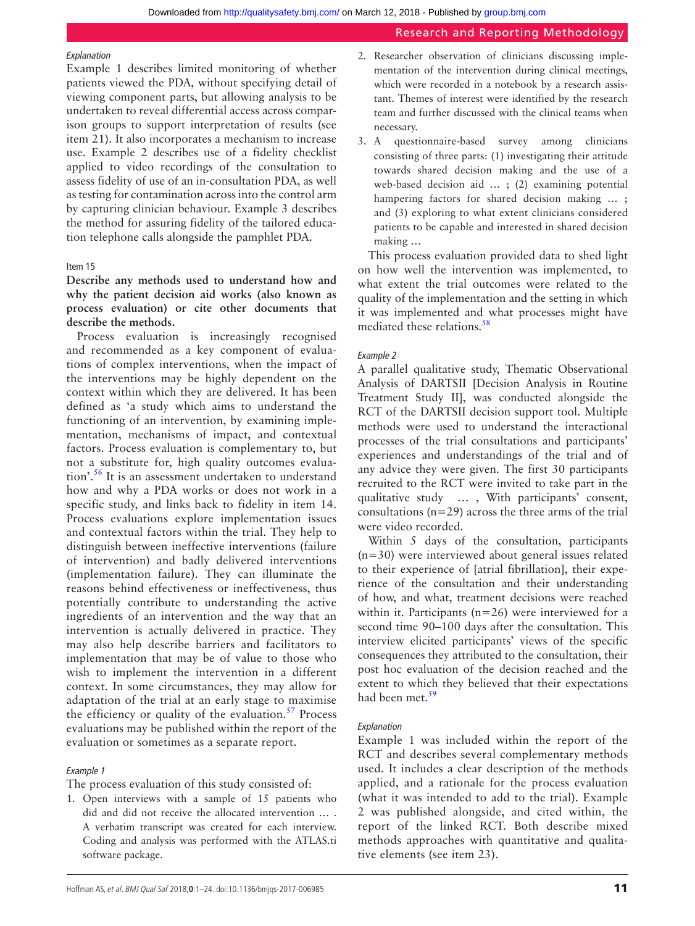#### *Explanation*

Example 1 describes limited monitoring of whether patients viewed the PDA, without specifying detail of viewing component parts, but allowing analysis to be undertaken to reveal differential access across comparison groups to support interpretation of results (see item 21). It also incorporates a mechanism to increase use. Example 2 describes use of a fidelity checklist applied to video recordings of the consultation to assess fidelity of use of an in-consultation PDA, as well as testing for contamination across into the control arm by capturing clinician behaviour. Example 3 describes the method for assuring fidelity of the tailored education telephone calls alongside the pamphlet PDA.

#### Item 15

**Describe any methods used to understand how and why the patient decision aid works (also known as process evaluation) or cite other documents that describe the methods.**

Process evaluation is increasingly recognised and recommended as a key component of evaluations of complex interventions, when the impact of the interventions may be highly dependent on the context within which they are delivered. It has been defined as 'a study which aims to understand the functioning of an intervention, by examining implementation, mechanisms of impact, and contextual factors. Process evaluation is complementary to, but not a substitute for, high quality outcomes evaluation'.<sup>56</sup> It is an assessment undertaken to understand how and why a PDA works or does not work in a specific study, and links back to fidelity in item 14. Process evaluations explore implementation issues and contextual factors within the trial. They help to distinguish between ineffective interventions (failure of intervention) and badly delivered interventions (implementation failure). They can illuminate the reasons behind effectiveness or ineffectiveness, thus potentially contribute to understanding the active ingredients of an intervention and the way that an intervention is actually delivered in practice. They may also help describe barriers and facilitators to implementation that may be of value to those who wish to implement the intervention in a different context. In some circumstances, they may allow for adaptation of the trial at an early stage to maximise the efficiency or quality of the evaluation. $57$  Process evaluations may be published within the report of the evaluation or sometimes as a separate report.

#### *Example 1*

The process evaluation of this study consisted of:

1. Open interviews with a sample of 15 patients who did and did not receive the allocated intervention … . A verbatim transcript was created for each interview. Coding and analysis was performed with the ATLAS.ti software package.

- 2. Researcher observation of clinicians discussing implementation of the intervention during clinical meetings, which were recorded in a notebook by a research assistant. Themes of interest were identified by the research team and further discussed with the clinical teams when necessary.
- 3. A questionnaire-based survey among clinicians consisting of three parts: (1) investigating their attitude towards shared decision making and the use of a web-based decision aid … ; (2) examining potential hampering factors for shared decision making … ; and (3) exploring to what extent clinicians considered patients to be capable and interested in shared decision making …

This process evaluation provided data to shed light on how well the intervention was implemented, to what extent the trial outcomes were related to the quality of the implementation and the setting in which it was implemented and what processes might have mediated these relations.<sup>58</sup>

#### *Example 2*

A parallel qualitative study, Thematic Observational Analysis of DARTSII [Decision Analysis in Routine Treatment Study II], was conducted alongside the RCT of the DARTSII decision support tool. Multiple methods were used to understand the interactional processes of the trial consultations and participants' experiences and understandings of the trial and of any advice they were given. The first 30 participants recruited to the RCT were invited to take part in the qualitative study … , With participants' consent, consultations  $(n=29)$  across the three arms of the trial were video recorded.

Within 5 days of the consultation, participants (n=30) were interviewed about general issues related to their experience of [atrial fibrillation], their experience of the consultation and their understanding of how, and what, treatment decisions were reached within it. Participants  $(n=26)$  were interviewed for a second time 90–100 days after the consultation. This interview elicited participants' views of the specific consequences they attributed to the consultation, their post hoc evaluation of the decision reached and the extent to which they believed that their expectations had been met.<sup>59</sup>

#### *Explanation*

Example 1 was included within the report of the RCT and describes several complementary methods used. It includes a clear description of the methods applied, and a rationale for the process evaluation (what it was intended to add to the trial). Example 2 was published alongside, and cited within, the report of the linked RCT. Both describe mixed methods approaches with quantitative and qualitative elements (see item 23).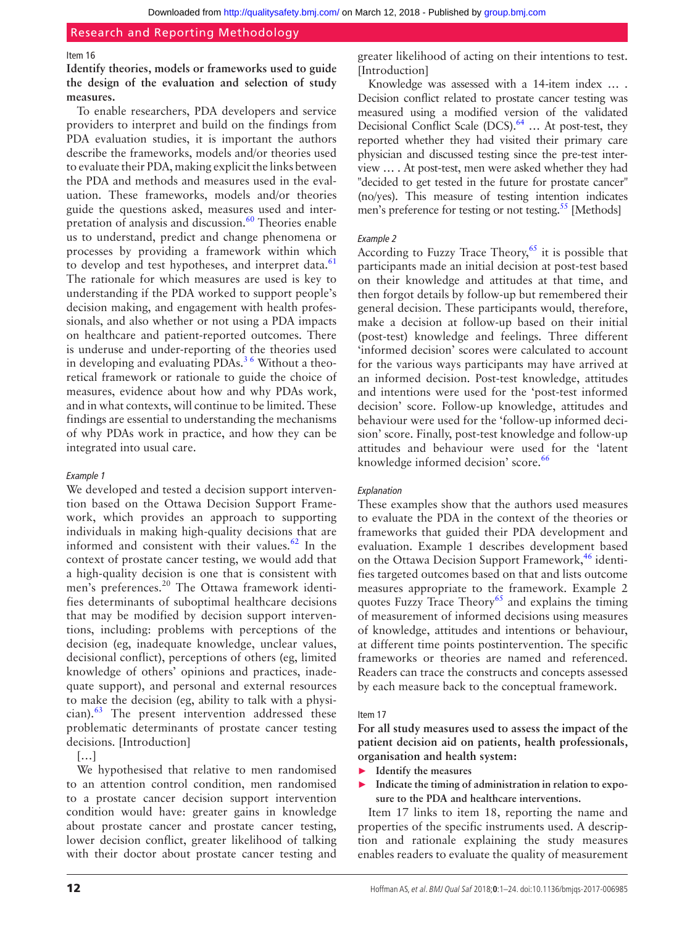### Item 16

**Identify theories, models or frameworks used to guide the design of the evaluation and selection of study measures.**

To enable researchers, PDA developers and service providers to interpret and build on the findings from PDA evaluation studies, it is important the authors describe the frameworks, models and/or theories used to evaluate their PDA, making explicit the links between the PDA and methods and measures used in the evaluation. These frameworks, models and/or theories guide the questions asked, measures used and interpretation of analysis and discussion. $60$  Theories enable us to understand, predict and change phenomena or processes by providing a framework within which to develop and test hypotheses, and interpret data.<sup>61</sup> The rationale for which measures are used is key to understanding if the PDA worked to support people's decision making, and engagement with health professionals, and also whether or not using a PDA impacts on healthcare and patient-reported outcomes. There is underuse and under-reporting of the theories used in developing and evaluating  $PDAs.<sup>36</sup>$  Without a theoretical framework or rationale to guide the choice of measures, evidence about how and why PDAs work, and in what contexts, will continue to be limited. These findings are essential to understanding the mechanisms of why PDAs work in practice, and how they can be integrated into usual care.

### *Example 1*

We developed and tested a decision support intervention based on the Ottawa Decision Support Framework, which provides an approach to supporting individuals in making high-quality decisions that are informed and consistent with their values. $62$  In the context of prostate cancer testing, we would add that a high-quality decision is one that is consistent with men's preferences.<sup>20</sup> The Ottawa framework identifies determinants of suboptimal healthcare decisions that may be modified by decision support interventions, including: problems with perceptions of the decision (eg, inadequate knowledge, unclear values, decisional conflict), perceptions of others (eg, limited knowledge of others' opinions and practices, inadequate support), and personal and external resources to make the decision (eg, ability to talk with a physi $cian$ .<sup>[63](#page-24-3)</sup> The present intervention addressed these problematic determinants of prostate cancer testing decisions. [Introduction]

[…]

We hypothesised that relative to men randomised to an attention control condition, men randomised to a prostate cancer decision support intervention condition would have: greater gains in knowledge about prostate cancer and prostate cancer testing, lower decision conflict, greater likelihood of talking with their doctor about prostate cancer testing and

greater likelihood of acting on their intentions to test. [Introduction]

Knowledge was assessed with a 14-item index … . Decision conflict related to prostate cancer testing was measured using a modified version of the validated Decisional Conflict Scale (DCS). $64$  ... At post-test, they reported whether they had visited their primary care physician and discussed testing since the pre-test interview … . At post-test, men were asked whether they had "decided to get tested in the future for prostate cancer" (no/yes). This measure of testing intention indicates men's preference for testing or not testing.<sup>55</sup> [Methods]

## *Example 2*

According to Fuzzy Trace Theory,<sup>65</sup> it is possible that participants made an initial decision at post-test based on their knowledge and attitudes at that time, and then forgot details by follow-up but remembered their general decision. These participants would, therefore, make a decision at follow-up based on their initial (post-test) knowledge and feelings. Three different 'informed decision' scores were calculated to account for the various ways participants may have arrived at an informed decision. Post-test knowledge, attitudes and intentions were used for the 'post-test informed decision' score. Follow-up knowledge, attitudes and behaviour were used for the 'follow-up informed decision' score. Finally, post-test knowledge and follow-up attitudes and behaviour were used for the 'latent knowledge informed decision' score.<sup>[66](#page-24-6)</sup>

#### *Explanation*

These examples show that the authors used measures to evaluate the PDA in the context of the theories or frameworks that guided their PDA development and evaluation. Example 1 describes development based on the Ottawa Decision Support Framework,<sup>46</sup> identifies targeted outcomes based on that and lists outcome measures appropriate to the framework. Example 2 quotes Fuzzy Trace Theory<sup>65</sup> and explains the timing of measurement of informed decisions using measures of knowledge, attitudes and intentions or behaviour, at different time points postintervention. The specific frameworks or theories are named and referenced. Readers can trace the constructs and concepts assessed by each measure back to the conceptual framework.

## Item 17

**For all study measures used to assess the impact of the patient decision aid on patients, health professionals, organisation and health system:**

- ► **Identify the measures**
- ► **Indicate the timing of administration in relation to exposure to the PDA and healthcare interventions.**

Item 17 links to item 18, reporting the name and properties of the specific instruments used. A description and rationale explaining the study measures enables readers to evaluate the quality of measurement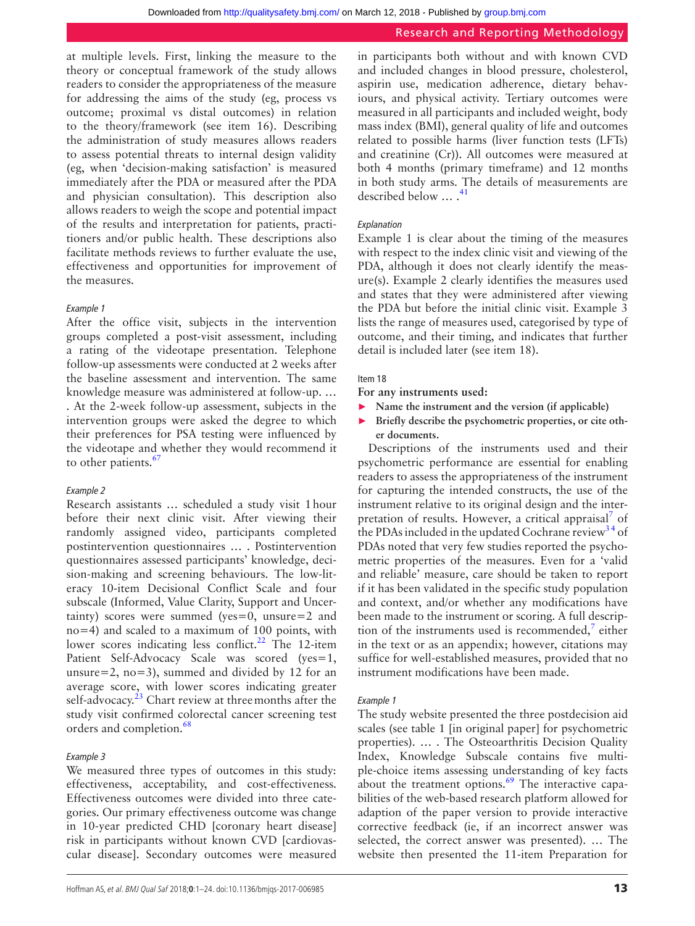at multiple levels. First, linking the measure to the theory or conceptual framework of the study allows readers to consider the appropriateness of the measure for addressing the aims of the study (eg, process vs outcome; proximal vs distal outcomes) in relation to the theory/framework (see item 16). Describing the administration of study measures allows readers to assess potential threats to internal design validity (eg, when 'decision-making satisfaction' is measured immediately after the PDA or measured after the PDA and physician consultation). This description also allows readers to weigh the scope and potential impact of the results and interpretation for patients, practitioners and/or public health. These descriptions also facilitate methods reviews to further evaluate the use, effectiveness and opportunities for improvement of the measures.

## *Example 1*

After the office visit, subjects in the intervention groups completed a post-visit assessment, including a rating of the videotape presentation. Telephone follow-up assessments were conducted at 2 weeks after the baseline assessment and intervention. The same knowledge measure was administered at follow-up. … . At the 2-week follow-up assessment, subjects in the intervention groups were asked the degree to which their preferences for PSA testing were influenced by the videotape and whether they would recommend it to other patients.<sup>[67](#page-24-7)</sup>

## *Example 2*

Research assistants … scheduled a study visit 1hour before their next clinic visit. After viewing their randomly assigned video, participants completed postintervention questionnaires … . Postintervention questionnaires assessed participants' knowledge, decision-making and screening behaviours. The low-literacy 10-item Decisional Conflict Scale and four subscale (Informed, Value Clarity, Support and Uncertainty) scores were summed (yes=0, unsure=2 and no=4) and scaled to a maximum of 100 points, with lower scores indicating less conflict.<sup>22</sup> The 12-item Patient Self-Advocacy Scale was scored (yes=1, unsure=2, no=3), summed and divided by 12 for an average score, with lower scores indicating greater self-advocacy.<sup>23</sup> Chart review at three months after the study visit confirmed colorectal cancer screening test orders and completion.<sup>[68](#page-24-8)</sup>

## *Example 3*

We measured three types of outcomes in this study: effectiveness, acceptability, and cost-effectiveness. Effectiveness outcomes were divided into three categories. Our primary effectiveness outcome was change in 10-year predicted CHD [coronary heart disease] risk in participants without known CVD [cardiovascular disease]. Secondary outcomes were measured

in participants both without and with known CVD and included changes in blood pressure, cholesterol, aspirin use, medication adherence, dietary behaviours, and physical activity. Tertiary outcomes were measured in all participants and included weight, body mass index (BMI), general quality of life and outcomes related to possible harms (liver function tests (LFTs) and creatinine (Cr)). All outcomes were measured at both 4 months (primary timeframe) and 12 months in both study arms. The details of measurements are described below  $\ldots$ .<sup>41</sup>

### *Explanation*

Example 1 is clear about the timing of the measures with respect to the index clinic visit and viewing of the PDA, although it does not clearly identify the measure(s). Example 2 clearly identifies the measures used and states that they were administered after viewing the PDA but before the initial clinic visit. Example 3 lists the range of measures used, categorised by type of outcome, and their timing, and indicates that further detail is included later (see item 18).

### Item 18

**For any instruments used:**

- ► **Name the instrument and the version (if applicable)**
- ► Briefly describe the psychometric properties, or cite oth**er documents.**

Descriptions of the instruments used and their psychometric performance are essential for enabling readers to assess the appropriateness of the instrument for capturing the intended constructs, the use of the instrument relative to its original design and the inter-pretation of results. However, a critical appraisal<sup>[7](#page-22-25)</sup> of the PDAs included in the updated Cochrane review<sup>34</sup> of PDAs noted that very few studies reported the psychometric properties of the measures. Even for a 'valid and reliable' measure, care should be taken to report if it has been validated in the specific study population and context, and/or whether any modifications have been made to the instrument or scoring. A full description of the instruments used is recommended, $\frac{7}{7}$  $\frac{7}{7}$  $\frac{7}{7}$  either in the text or as an appendix; however, citations may suffice for well-established measures, provided that no instrument modifications have been made.

#### *Example 1*

The study website presented the three postdecision aid scales (see table 1 [in original paper] for psychometric properties). … . The Osteoarthritis Decision Quality Index, Knowledge Subscale contains five multiple-choice items assessing understanding of key facts about the treatment options. $69$  The interactive capabilities of the web-based research platform allowed for adaption of the paper version to provide interactive corrective feedback (ie, if an incorrect answer was selected, the correct answer was presented). … The website then presented the 11-item Preparation for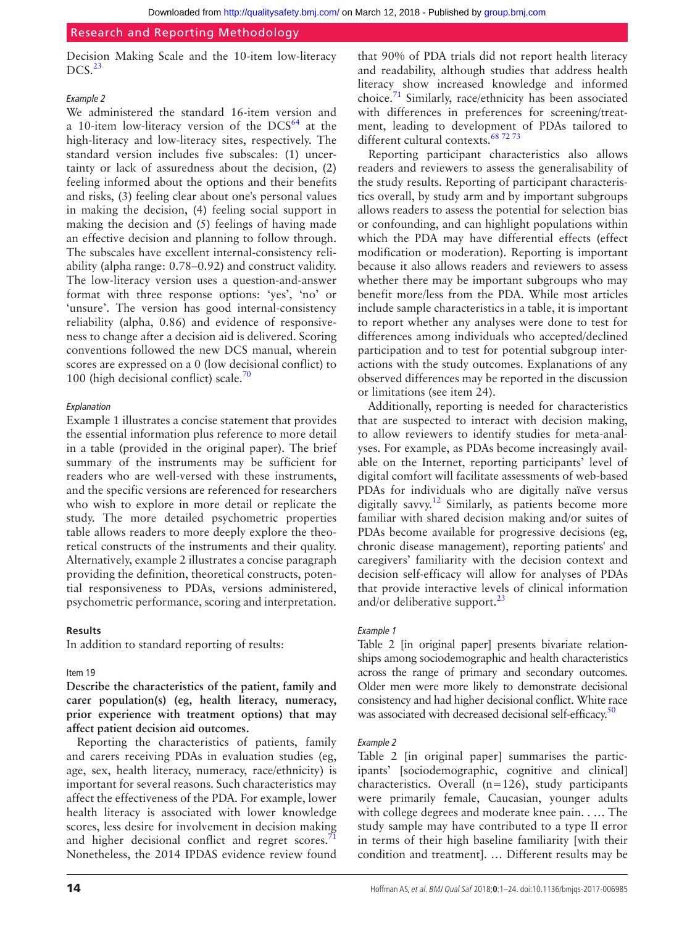Decision Making Scale and the 10-item low-literacy  $DCS<sub>23</sub>$ 

#### *Example 2*

We administered the standard 16-item version and a 10-item low-literacy version of the  $DCS<sup>64</sup>$  $DCS<sup>64</sup>$  $DCS<sup>64</sup>$  at the high-literacy and low-literacy sites, respectively. The standard version includes five subscales: (1) uncertainty or lack of assuredness about the decision, (2) feeling informed about the options and their benefits and risks, (3) feeling clear about one's personal values in making the decision, (4) feeling social support in making the decision and (5) feelings of having made an effective decision and planning to follow through. The subscales have excellent internal-consistency reliability (alpha range: 0.78–0.92) and construct validity. The low-literacy version uses a question-and-answer format with three response options: 'yes', 'no' or 'unsure'. The version has good internal-consistency reliability (alpha, 0.86) and evidence of responsiveness to change after a decision aid is delivered. Scoring conventions followed the new DCS manual, wherein scores are expressed on a 0 (low decisional conflict) to 100 (high decisional conflict) scale.<sup>[70](#page-24-10)</sup>

### *Explanation*

Example 1 illustrates a concise statement that provides the essential information plus reference to more detail in a table (provided in the original paper). The brief summary of the instruments may be sufficient for readers who are well-versed with these instruments, and the specific versions are referenced for researchers who wish to explore in more detail or replicate the study. The more detailed psychometric properties table allows readers to more deeply explore the theoretical constructs of the instruments and their quality. Alternatively, example 2 illustrates a concise paragraph providing the definition, theoretical constructs, potential responsiveness to PDAs, versions administered, psychometric performance, scoring and interpretation.

### **Results**

In addition to standard reporting of results:

#### Item 19

**Describe the characteristics of the patient, family and carer population(s) (eg, health literacy, numeracy, prior experience with treatment options) that may affect patient decision aid outcomes.**

Reporting the characteristics of patients, family and carers receiving PDAs in evaluation studies (eg, age, sex, health literacy, numeracy, race/ethnicity) is important for several reasons. Such characteristics may affect the effectiveness of the PDA. For example, lower health literacy is associated with lower knowledge scores, less desire for involvement in decision making and higher decisional conflict and regret scores.<sup>[71](#page-24-11)</sup> Nonetheless, the 2014 IPDAS evidence review found

that 90% of PDA trials did not report health literacy and readability, although studies that address health literacy show increased knowledge and informed choice.[71](#page-24-11) Similarly, race/ethnicity has been associated with differences in preferences for screening/treatment, leading to development of PDAs tailored to different cultural contexts.<sup>[68 72 73](#page-24-8)</sup>

Reporting participant characteristics also allows readers and reviewers to assess the generalisability of the study results. Reporting of participant characteristics overall, by study arm and by important subgroups allows readers to assess the potential for selection bias or confounding, and can highlight populations within which the PDA may have differential effects (effect modification or moderation). Reporting is important because it also allows readers and reviewers to assess whether there may be important subgroups who may benefit more/less from the PDA. While most articles include sample characteristics in a table, it is important to report whether any analyses were done to test for differences among individuals who accepted/declined participation and to test for potential subgroup interactions with the study outcomes. Explanations of any observed differences may be reported in the discussion or limitations (see item 24).

Additionally, reporting is needed for characteristics that are suspected to interact with decision making, to allow reviewers to identify studies for meta-analyses. For example, as PDAs become increasingly available on the Internet, reporting participants' level of digital comfort will facilitate assessments of web-based PDAs for individuals who are digitally naïve versus digitally savvy.<sup>[12](#page-22-24)</sup> Similarly, as patients become more familiar with shared decision making and/or suites of PDAs become available for progressive decisions (eg, chronic disease management), reporting patients' and caregivers' familiarity with the decision context and decision self-efficacy will allow for analyses of PDAs that provide interactive levels of clinical information and/or deliberative support. $^{23}$  $^{23}$  $^{23}$ 

#### *Example 1*

Table 2 [in original paper] presents bivariate relationships among sociodemographic and health characteristics across the range of primary and secondary outcomes. Older men were more likely to demonstrate decisional consistency and had higher decisional conflict. White race was associated with decreased decisional self-efficacy.<sup>[50](#page-23-14)</sup>

#### *Example 2*

Table 2 [in original paper] summarises the participants' [sociodemographic, cognitive and clinical] characteristics. Overall (n=126), study participants were primarily female, Caucasian, younger adults with college degrees and moderate knee pain. . … The study sample may have contributed to a type II error in terms of their high baseline familiarity [with their condition and treatment]. … Different results may be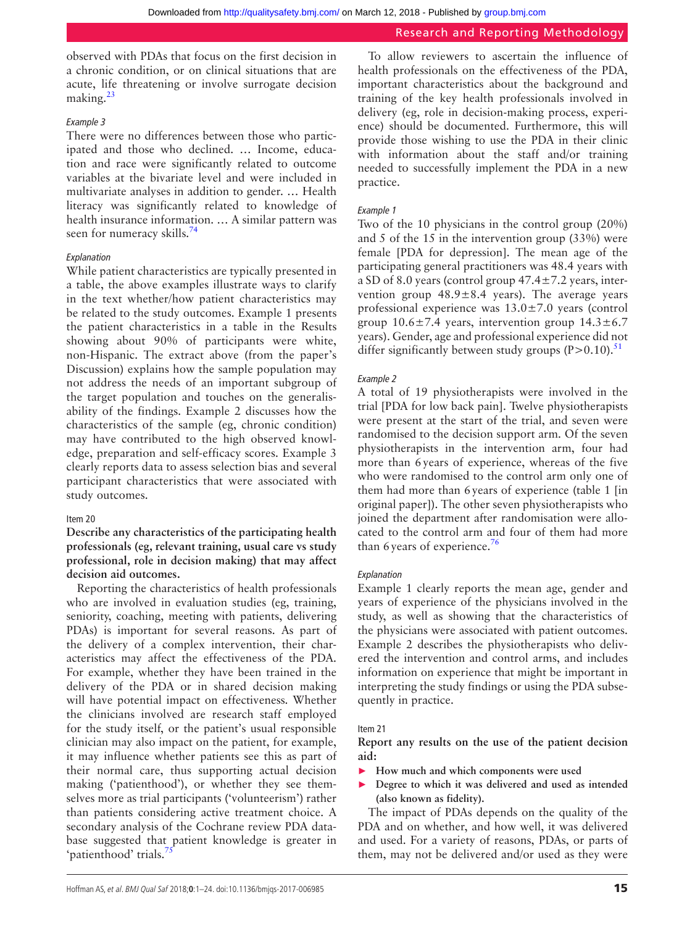observed with PDAs that focus on the first decision in a chronic condition, or on clinical situations that are acute, life threatening or involve surrogate decision making. $23$ 

### *Example 3*

There were no differences between those who participated and those who declined. … Income, education and race were significantly related to outcome variables at the bivariate level and were included in multivariate analyses in addition to gender. … Health literacy was significantly related to knowledge of health insurance information. … A similar pattern was seen for numeracy skills.<sup>74</sup>

## *Explanation*

While patient characteristics are typically presented in a table, the above examples illustrate ways to clarify in the text whether/how patient characteristics may be related to the study outcomes. Example 1 presents the patient characteristics in a table in the Results showing about 90% of participants were white, non-Hispanic. The extract above (from the paper's Discussion) explains how the sample population may not address the needs of an important subgroup of the target population and touches on the generalisability of the findings. Example 2 discusses how the characteristics of the sample (eg, chronic condition) may have contributed to the high observed knowledge, preparation and self-efficacy scores. Example 3 clearly reports data to assess selection bias and several participant characteristics that were associated with study outcomes.

## Item 20

**Describe any characteristics of the participating health professionals (eg, relevant training, usual care vs study professional, role in decision making) that may affect decision aid outcomes.**

Reporting the characteristics of health professionals who are involved in evaluation studies (eg, training, seniority, coaching, meeting with patients, delivering PDAs) is important for several reasons. As part of the delivery of a complex intervention, their characteristics may affect the effectiveness of the PDA. For example, whether they have been trained in the delivery of the PDA or in shared decision making will have potential impact on effectiveness. Whether the clinicians involved are research staff employed for the study itself, or the patient's usual responsible clinician may also impact on the patient, for example, it may influence whether patients see this as part of their normal care, thus supporting actual decision making ('patienthood'), or whether they see themselves more as trial participants ('volunteerism') rather than patients considering active treatment choice. A secondary analysis of the Cochrane review PDA database suggested that patient knowledge is greater in 'patienthood' trials.<sup>75</sup>

To allow reviewers to ascertain the influence of health professionals on the effectiveness of the PDA, important characteristics about the background and training of the key health professionals involved in delivery (eg, role in decision-making process, experience) should be documented. Furthermore, this will provide those wishing to use the PDA in their clinic with information about the staff and/or training needed to successfully implement the PDA in a new practice.

## *Example 1*

Two of the 10 physicians in the control group (20%) and 5 of the 15 in the intervention group (33%) were female [PDA for depression]. The mean age of the participating general practitioners was 48.4 years with a SD of 8.0 years (control group  $47.4 \pm 7.2$  years, intervention group  $48.9 \pm 8.4$  years). The average years professional experience was 13.0±7.0 years (control group  $10.6 \pm 7.4$  years, intervention group  $14.3 \pm 6.7$ years). Gender, age and professional experience did not differ significantly between study groups  $(P>0.10)$ .<sup>[51](#page-23-15)</sup>

## *Example 2*

A total of 19 physiotherapists were involved in the trial [PDA for low back pain]. Twelve physiotherapists were present at the start of the trial, and seven were randomised to the decision support arm. Of the seven physiotherapists in the intervention arm, four had more than 6years of experience, whereas of the five who were randomised to the control arm only one of them had more than 6years of experience (table 1 [in original paper]). The other seven physiotherapists who joined the department after randomisation were allocated to the control arm and four of them had more than 6 years of experience.<sup>[76](#page-24-14)</sup>

## *Explanation*

Example 1 clearly reports the mean age, gender and years of experience of the physicians involved in the study, as well as showing that the characteristics of the physicians were associated with patient outcomes. Example 2 describes the physiotherapists who delivered the intervention and control arms, and includes information on experience that might be important in interpreting the study findings or using the PDA subsequently in practice.

## Item 21

**Report any results on the use of the patient decision aid:**

- ► **How much and which components were used**
- ► **Degree to which it was delivered and used as intended (also known as fidelity).**

The impact of PDAs depends on the quality of the PDA and on whether, and how well, it was delivered and used. For a variety of reasons, PDAs, or parts of them, may not be delivered and/or used as they were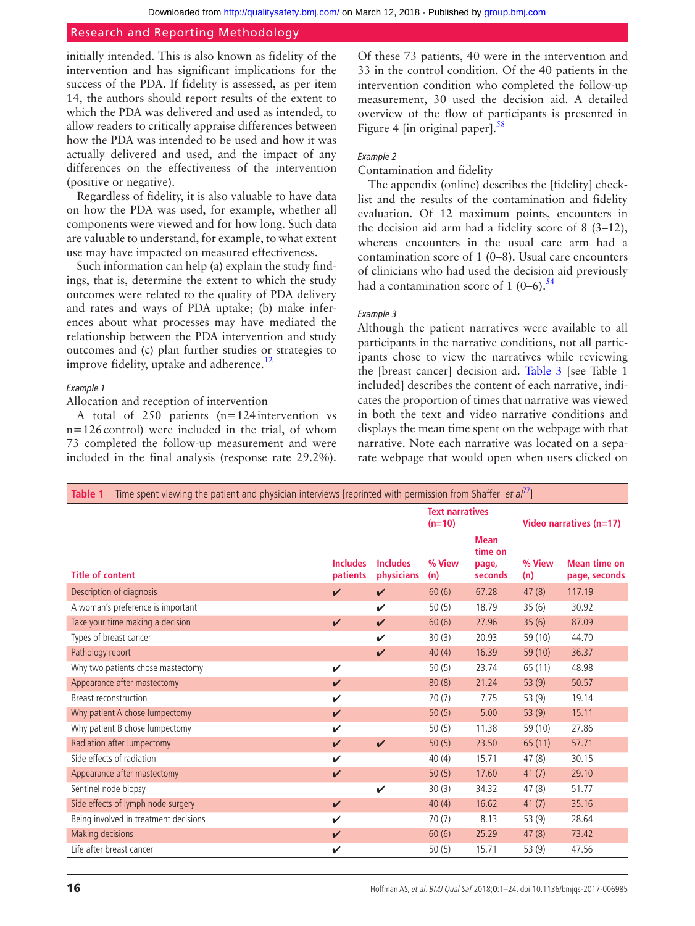initially intended. This is also known as fidelity of the intervention and has significant implications for the success of the PDA. If fidelity is assessed, as per item 14, the authors should report results of the extent to which the PDA was delivered and used as intended, to allow readers to critically appraise differences between how the PDA was intended to be used and how it was actually delivered and used, and the impact of any differences on the effectiveness of the intervention (positive or negative).

Regardless of fidelity, it is also valuable to have data on how the PDA was used, for example, whether all components were viewed and for how long. Such data are valuable to understand, for example, to what extent use may have impacted on measured effectiveness.

Such information can help (a) explain the study findings, that is, determine the extent to which the study outcomes were related to the quality of PDA delivery and rates and ways of PDA uptake; (b) make inferences about what processes may have mediated the relationship between the PDA intervention and study outcomes and (c) plan further studies or strategies to improve fidelity, uptake and adherence.<sup>12</sup>

### *Example 1*

Allocation and reception of intervention

A total of 250 patients (n=124intervention vs n=126control) were included in the trial, of whom 73 completed the follow-up measurement and were included in the final analysis (response rate 29.2%).

Of these 73 patients, 40 were in the intervention and 33 in the control condition. Of the 40 patients in the intervention condition who completed the follow-up measurement, 30 used the decision aid. A detailed overview of the flow of participants is presented in Figure 4 [in original paper]. $58$ 

### *Example 2*

### Contamination and fidelity

The appendix (online) describes the [fidelity] checklist and the results of the contamination and fidelity evaluation. Of 12 maximum points, encounters in the decision aid arm had a fidelity score of 8 (3–12), whereas encounters in the usual care arm had a contamination score of 1 (0–8). Usual care encounters of clinicians who had used the decision aid previously had a contamination score of 1  $(0-6)$ .<sup>54</sup>

### *Example 3*

Although the patient narratives were available to all participants in the narrative conditions, not all participants chose to view the narratives while reviewing the [breast cancer] decision aid. [Table](#page-16-0) 3 [see Table 1 included] describes the content of each narrative, indicates the proportion of times that narrative was viewed in both the text and video narrative conditions and displays the mean time spent on the webpage with that narrative. Note each narrative was located on a separate webpage that would open when users clicked on

<span id="page-16-0"></span>

| Time spent viewing the patient and physician interviews [reprinted with permission from Shaffer et $al''$ ]<br>Table 1 |                             |                               |                                    |                                            |                         |                                      |  |
|------------------------------------------------------------------------------------------------------------------------|-----------------------------|-------------------------------|------------------------------------|--------------------------------------------|-------------------------|--------------------------------------|--|
|                                                                                                                        |                             |                               | <b>Text narratives</b><br>$(n=10)$ |                                            | Video narratives (n=17) |                                      |  |
| <b>Title of content</b>                                                                                                | <b>Includes</b><br>patients | <b>Includes</b><br>physicians | % View<br>(n)                      | <b>Mean</b><br>time on<br>page,<br>seconds | % View<br>(n)           | <b>Mean time on</b><br>page, seconds |  |
| Description of diagnosis                                                                                               | $\checkmark$                | $\checkmark$                  | 60(6)                              | 67.28                                      | 47(8)                   | 117.19                               |  |
| A woman's preference is important                                                                                      |                             | V                             | 50(5)                              | 18.79                                      | 35(6)                   | 30.92                                |  |
| Take your time making a decision                                                                                       | $\checkmark$                | $\checkmark$                  | 60(6)                              | 27.96                                      | 35(6)                   | 87.09                                |  |
| Types of breast cancer                                                                                                 |                             | ✓                             | 30(3)                              | 20.93                                      | 59 (10)                 | 44.70                                |  |
| Pathology report                                                                                                       |                             | $\boldsymbol{\mathcal{U}}$    | 40(4)                              | 16.39                                      | 59(10)                  | 36.37                                |  |
| Why two patients chose mastectomy                                                                                      | $\checkmark$                |                               | 50(5)                              | 23.74                                      | 65 (11)                 | 48.98                                |  |
| Appearance after mastectomy                                                                                            | $\checkmark$                |                               | 80(8)                              | 21.24                                      | 53(9)                   | 50.57                                |  |
| <b>Breast reconstruction</b>                                                                                           | $\checkmark$                |                               | 70(7)                              | 7.75                                       | 53 $(9)$                | 19.14                                |  |
| Why patient A chose lumpectomy                                                                                         | $\checkmark$                |                               | 50(5)                              | 5.00                                       | 53(9)                   | 15.11                                |  |
| Why patient B chose lumpectomy                                                                                         | ✓                           |                               | 50(5)                              | 11.38                                      | 59 (10)                 | 27.86                                |  |
| Radiation after lumpectomy                                                                                             | $\mathbf v$                 | $\checkmark$                  | 50(5)                              | 23.50                                      | 65 (11)                 | 57.71                                |  |
| Side effects of radiation                                                                                              | $\checkmark$                |                               | 40(4)                              | 15.71                                      | 47(8)                   | 30.15                                |  |
| Appearance after mastectomy                                                                                            | $\checkmark$                |                               | 50(5)                              | 17.60                                      | 41(7)                   | 29.10                                |  |
| Sentinel node biopsy                                                                                                   |                             | ✓                             | 30(3)                              | 34.32                                      | 47(8)                   | 51.77                                |  |
| Side effects of lymph node surgery                                                                                     | $\checkmark$                |                               | 40(4)                              | 16.62                                      | 41(7)                   | 35.16                                |  |
| Being involved in treatment decisions                                                                                  | $\boldsymbol{\nu}$          |                               | 70(7)                              | 8.13                                       | 53(9)                   | 28.64                                |  |
| Making decisions                                                                                                       | $\checkmark$                |                               | 60(6)                              | 25.29                                      | 47(8)                   | 73.42                                |  |
| Life after breast cancer                                                                                               | $\checkmark$                |                               | 50(5)                              | 15.71                                      | 53 $(9)$                | 47.56                                |  |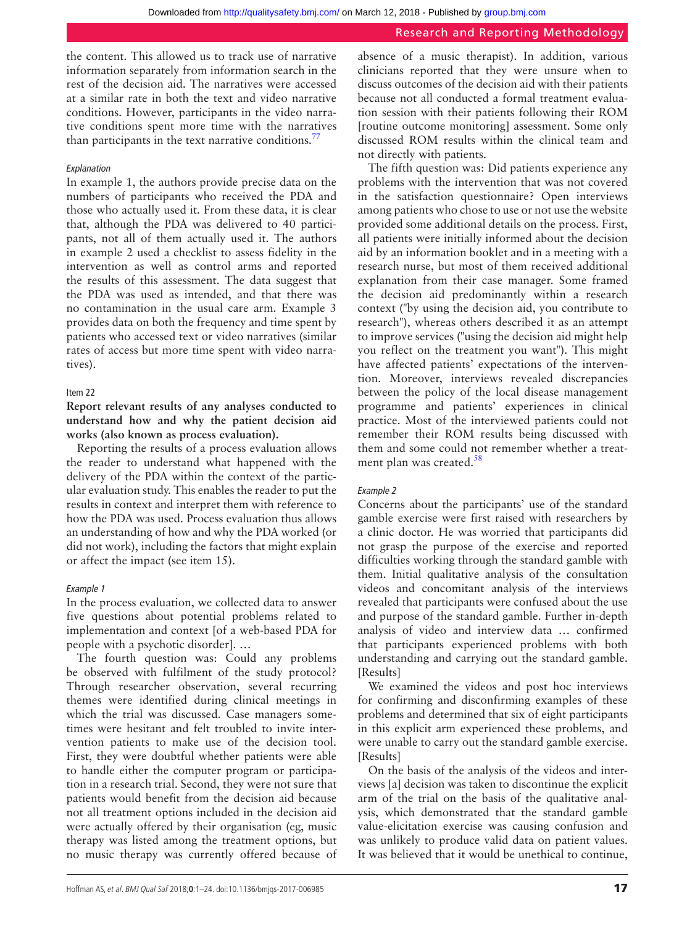the content. This allowed us to track use of narrative information separately from information search in the rest of the decision aid. The narratives were accessed at a similar rate in both the text and video narrative conditions. However, participants in the video narrative conditions spent more time with the narratives than participants in the text narrative conditions.<sup>77</sup>

#### *Explanation*

In example 1, the authors provide precise data on the numbers of participants who received the PDA and those who actually used it. From these data, it is clear that, although the PDA was delivered to 40 participants, not all of them actually used it. The authors in example 2 used a checklist to assess fidelity in the intervention as well as control arms and reported the results of this assessment. The data suggest that the PDA was used as intended, and that there was no contamination in the usual care arm. Example 3 provides data on both the frequency and time spent by patients who accessed text or video narratives (similar rates of access but more time spent with video narratives).

#### Item 22

**Report relevant results of any analyses conducted to understand how and why the patient decision aid works (also known as process evaluation).**

Reporting the results of a process evaluation allows the reader to understand what happened with the delivery of the PDA within the context of the particular evaluation study. This enables the reader to put the results in context and interpret them with reference to how the PDA was used. Process evaluation thus allows an understanding of how and why the PDA worked (or did not work), including the factors that might explain or affect the impact (see item 15).

#### *Example 1*

In the process evaluation, we collected data to answer five questions about potential problems related to implementation and context [of a web-based PDA for people with a psychotic disorder]. …

The fourth question was: Could any problems be observed with fulfilment of the study protocol? Through researcher observation, several recurring themes were identified during clinical meetings in which the trial was discussed. Case managers sometimes were hesitant and felt troubled to invite intervention patients to make use of the decision tool. First, they were doubtful whether patients were able to handle either the computer program or participation in a research trial. Second, they were not sure that patients would benefit from the decision aid because not all treatment options included in the decision aid were actually offered by their organisation (eg, music therapy was listed among the treatment options, but no music therapy was currently offered because of

absence of a music therapist). In addition, various clinicians reported that they were unsure when to discuss outcomes of the decision aid with their patients because not all conducted a formal treatment evaluation session with their patients following their ROM [routine outcome monitoring] assessment. Some only discussed ROM results within the clinical team and not directly with patients.

The fifth question was: Did patients experience any problems with the intervention that was not covered in the satisfaction questionnaire? Open interviews among patients who chose to use or not use the website provided some additional details on the process. First, all patients were initially informed about the decision aid by an information booklet and in a meeting with a research nurse, but most of them received additional explanation from their case manager. Some framed the decision aid predominantly within a research context ("by using the decision aid, you contribute to research"), whereas others described it as an attempt to improve services ("using the decision aid might help you reflect on the treatment you want"). This might have affected patients' expectations of the intervention. Moreover, interviews revealed discrepancies between the policy of the local disease management programme and patients' experiences in clinical practice. Most of the interviewed patients could not remember their ROM results being discussed with them and some could not remember whether a treat-ment plan was created.<sup>[58](#page-23-22)</sup>

#### *Example 2*

Concerns about the participants' use of the standard gamble exercise were first raised with researchers by a clinic doctor. He was worried that participants did not grasp the purpose of the exercise and reported difficulties working through the standard gamble with them. Initial qualitative analysis of the consultation videos and concomitant analysis of the interviews revealed that participants were confused about the use and purpose of the standard gamble. Further in-depth analysis of video and interview data … confirmed that participants experienced problems with both understanding and carrying out the standard gamble. [Results]

We examined the videos and post hoc interviews for confirming and disconfirming examples of these problems and determined that six of eight participants in this explicit arm experienced these problems, and were unable to carry out the standard gamble exercise. [Results]

On the basis of the analysis of the videos and interviews [a] decision was taken to discontinue the explicit arm of the trial on the basis of the qualitative analysis, which demonstrated that the standard gamble value-elicitation exercise was causing confusion and was unlikely to produce valid data on patient values. It was believed that it would be unethical to continue,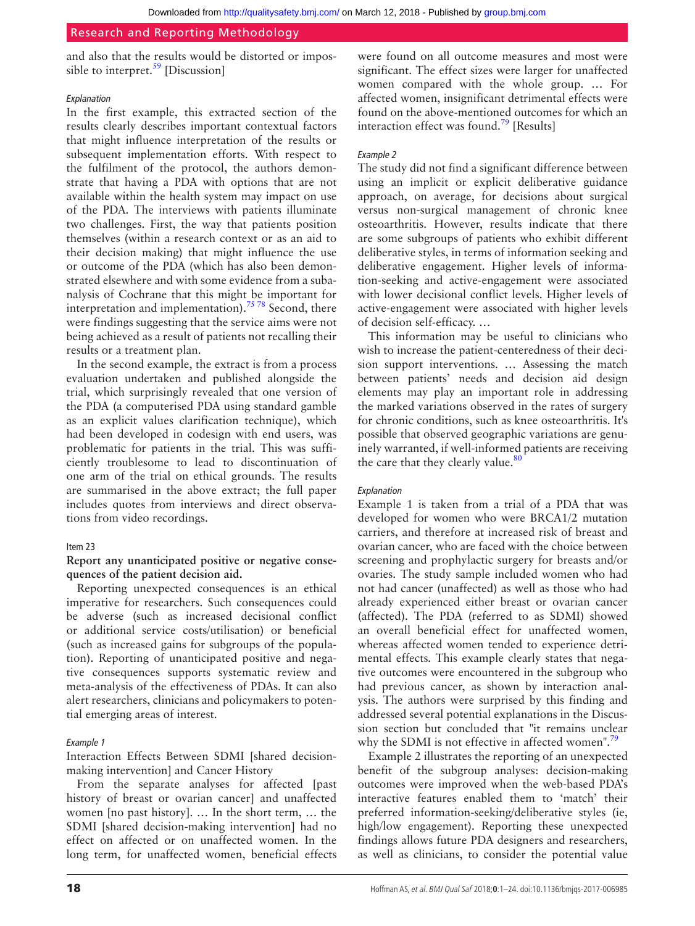and also that the results would be distorted or impos-sible to interpret.<sup>[59](#page-23-23)</sup> [Discussion]

### *Explanation*

In the first example, this extracted section of the results clearly describes important contextual factors that might influence interpretation of the results or subsequent implementation efforts. With respect to the fulfilment of the protocol, the authors demonstrate that having a PDA with options that are not available within the health system may impact on use of the PDA. The interviews with patients illuminate two challenges. First, the way that patients position themselves (within a research context or as an aid to their decision making) that might influence the use or outcome of the PDA (which has also been demonstrated elsewhere and with some evidence from a subanalysis of Cochrane that this might be important for interpretation and implementation).<sup>75 78</sup> Second, there were findings suggesting that the service aims were not being achieved as a result of patients not recalling their results or a treatment plan.

In the second example, the extract is from a process evaluation undertaken and published alongside the trial, which surprisingly revealed that one version of the PDA (a computerised PDA using standard gamble as an explicit values clarification technique), which had been developed in codesign with end users, was problematic for patients in the trial. This was sufficiently troublesome to lead to discontinuation of one arm of the trial on ethical grounds. The results are summarised in the above extract; the full paper includes quotes from interviews and direct observations from video recordings.

## Item 23

## **Report any unanticipated positive or negative consequences of the patient decision aid.**

Reporting unexpected consequences is an ethical imperative for researchers. Such consequences could be adverse (such as increased decisional conflict or additional service costs/utilisation) or beneficial (such as increased gains for subgroups of the population). Reporting of unanticipated positive and negative consequences supports systematic review and meta-analysis of the effectiveness of PDAs. It can also alert researchers, clinicians and policymakers to potential emerging areas of interest.

## *Example 1*

Interaction Effects Between SDMI [shared decisionmaking intervention] and Cancer History

From the separate analyses for affected [past history of breast or ovarian cancer] and unaffected women [no past history]. … In the short term, … the SDMI [shared decision-making intervention] had no effect on affected or on unaffected women. In the long term, for unaffected women, beneficial effects

were found on all outcome measures and most were significant. The effect sizes were larger for unaffected women compared with the whole group. … For affected women, insignificant detrimental effects were found on the above-mentioned outcomes for which an interaction effect was found.<sup>79</sup> [Results]

## *Example 2*

The study did not find a significant difference between using an implicit or explicit deliberative guidance approach, on average, for decisions about surgical versus non-surgical management of chronic knee osteoarthritis. However, results indicate that there are some subgroups of patients who exhibit different deliberative styles, in terms of information seeking and deliberative engagement. Higher levels of information-seeking and active-engagement were associated with lower decisional conflict levels. Higher levels of active-engagement were associated with higher levels of decision self-efficacy. …

This information may be useful to clinicians who wish to increase the patient-centeredness of their decision support interventions. … Assessing the match between patients' needs and decision aid design elements may play an important role in addressing the marked variations observed in the rates of surgery for chronic conditions, such as knee osteoarthritis. It's possible that observed geographic variations are genuinely warranted, if well-informed patients are receiving the care that they clearly value.<sup>80</sup>

## *Explanation*

Example 1 is taken from a trial of a PDA that was developed for women who were BRCA1/2 mutation carriers, and therefore at increased risk of breast and ovarian cancer, who are faced with the choice between screening and prophylactic surgery for breasts and/or ovaries. The study sample included women who had not had cancer (unaffected) as well as those who had already experienced either breast or ovarian cancer (affected). The PDA (referred to as SDMI) showed an overall beneficial effect for unaffected women, whereas affected women tended to experience detrimental effects. This example clearly states that negative outcomes were encountered in the subgroup who had previous cancer, as shown by interaction analysis. The authors were surprised by this finding and addressed several potential explanations in the Discussion section but concluded that "it remains unclear why the SDMI is not effective in affected women".<sup>79</sup>

Example 2 illustrates the reporting of an unexpected benefit of the subgroup analyses: decision-making outcomes were improved when the web-based PDA's interactive features enabled them to 'match' their preferred information-seeking/deliberative styles (ie, high/low engagement). Reporting these unexpected findings allows future PDA designers and researchers, as well as clinicians, to consider the potential value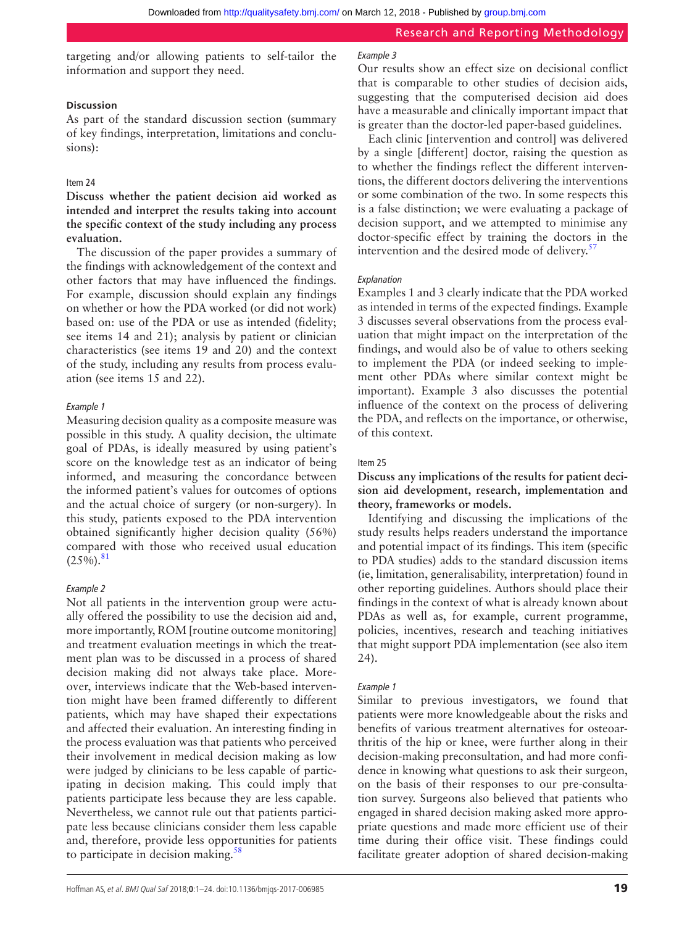targeting and/or allowing patients to self-tailor the information and support they need.

### **Discussion**

As part of the standard discussion section (summary of key findings, interpretation, limitations and conclusions):

### Item 24

**Discuss whether the patient decision aid worked as intended and interpret the results taking into account the specific context of the study including any process evaluation.**

The discussion of the paper provides a summary of the findings with acknowledgement of the context and other factors that may have influenced the findings. For example, discussion should explain any findings on whether or how the PDA worked (or did not work) based on: use of the PDA or use as intended (fidelity; see items 14 and 21); analysis by patient or clinician characteristics (see items 19 and 20) and the context of the study, including any results from process evaluation (see items 15 and 22).

## *Example 1*

Measuring decision quality as a composite measure was possible in this study. A quality decision, the ultimate goal of PDAs, is ideally measured by using patient's score on the knowledge test as an indicator of being informed, and measuring the concordance between the informed patient's values for outcomes of options and the actual choice of surgery (or non-surgery). In this study, patients exposed to the PDA intervention obtained significantly higher decision quality (56%) compared with those who received usual education  $(25\%)$ .  $81$ 

## *Example 2*

Not all patients in the intervention group were actually offered the possibility to use the decision aid and, more importantly, ROM [routine outcome monitoring] and treatment evaluation meetings in which the treatment plan was to be discussed in a process of shared decision making did not always take place. Moreover, interviews indicate that the Web-based intervention might have been framed differently to different patients, which may have shaped their expectations and affected their evaluation. An interesting finding in the process evaluation was that patients who perceived their involvement in medical decision making as low were judged by clinicians to be less capable of participating in decision making. This could imply that patients participate less because they are less capable. Nevertheless, we cannot rule out that patients participate less because clinicians consider them less capable and, therefore, provide less opportunities for patients to participate in decision making.<sup>58</sup>

### *Example 3*

Our results show an effect size on decisional conflict that is comparable to other studies of decision aids, suggesting that the computerised decision aid does have a measurable and clinically important impact that is greater than the doctor-led paper-based guidelines.

Each clinic [intervention and control] was delivered by a single [different] doctor, raising the question as to whether the findings reflect the different interventions, the different doctors delivering the interventions or some combination of the two. In some respects this is a false distinction; we were evaluating a package of decision support, and we attempted to minimise any doctor-specific effect by training the doctors in the intervention and the desired mode of delivery.<sup>57</sup>

#### *Explanation*

Examples 1 and 3 clearly indicate that the PDA worked as intended in terms of the expected findings. Example 3 discusses several observations from the process evaluation that might impact on the interpretation of the findings, and would also be of value to others seeking to implement the PDA (or indeed seeking to implement other PDAs where similar context might be important). Example 3 also discusses the potential influence of the context on the process of delivering the PDA, and reflects on the importance, or otherwise, of this context.

### Item 25

## **Discuss any implications of the results for patient decision aid development, research, implementation and theory, frameworks or models.**

Identifying and discussing the implications of the study results helps readers understand the importance and potential impact of its findings. This item (specific to PDA studies) adds to the standard discussion items (ie, limitation, generalisability, interpretation) found in other reporting guidelines. Authors should place their findings in the context of what is already known about PDAs as well as, for example, current programme, policies, incentives, research and teaching initiatives that might support PDA implementation (see also item 24).

#### *Example 1*

Similar to previous investigators, we found that patients were more knowledgeable about the risks and benefits of various treatment alternatives for osteoarthritis of the hip or knee, were further along in their decision-making preconsultation, and had more confidence in knowing what questions to ask their surgeon, on the basis of their responses to our pre-consultation survey. Surgeons also believed that patients who engaged in shared decision making asked more appropriate questions and made more efficient use of their time during their office visit. These findings could facilitate greater adoption of shared decision-making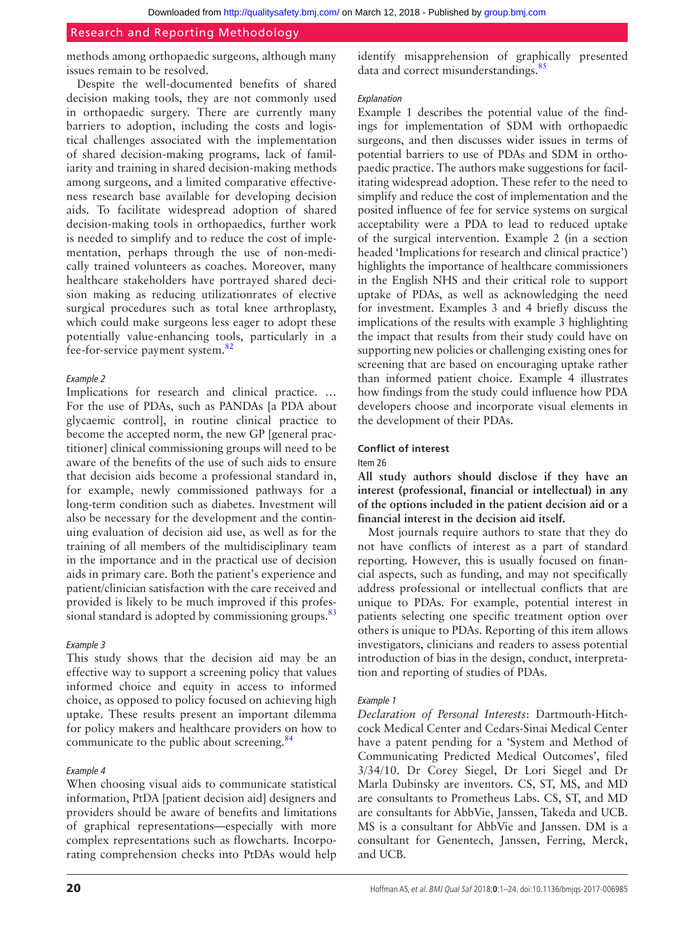methods among orthopaedic surgeons, although many issues remain to be resolved.

Despite the well-documented benefits of shared decision making tools, they are not commonly used in orthopaedic surgery. There are currently many barriers to adoption, including the costs and logistical challenges associated with the implementation of shared decision-making programs, lack of familiarity and training in shared decision-making methods among surgeons, and a limited comparative effectiveness research base available for developing decision aids. To facilitate widespread adoption of shared decision-making tools in orthopaedics, further work is needed to simplify and to reduce the cost of implementation, perhaps through the use of non-medically trained volunteers as coaches. Moreover, many healthcare stakeholders have portrayed shared decision making as reducing utilizationrates of elective surgical procedures such as total knee arthroplasty, which could make surgeons less eager to adopt these potentially value-enhancing tools, particularly in a fee-for-service payment system.[82](#page-24-19)

#### *Example 2*

Implications for research and clinical practice. … For the use of PDAs, such as PANDAs [a PDA about glycaemic control], in routine clinical practice to become the accepted norm, the new GP [general practitioner] clinical commissioning groups will need to be aware of the benefits of the use of such aids to ensure that decision aids become a professional standard in, for example, newly commissioned pathways for a long-term condition such as diabetes. Investment will also be necessary for the development and the continuing evaluation of decision aid use, as well as for the training of all members of the multidisciplinary team in the importance and in the practical use of decision aids in primary care. Both the patient's experience and patient/clinician satisfaction with the care received and provided is likely to be much improved if this profes-sional standard is adopted by commissioning groups.<sup>[83](#page-24-20)</sup>

#### *Example 3*

This study shows that the decision aid may be an effective way to support a screening policy that values informed choice and equity in access to informed choice, as opposed to policy focused on achieving high uptake. These results present an important dilemma for policy makers and healthcare providers on how to communicate to the public about screening.<sup>84</sup>

## *Example 4*

When choosing visual aids to communicate statistical information, PtDA [patient decision aid] designers and providers should be aware of benefits and limitations of graphical representations—especially with more complex representations such as flowcharts. Incorporating comprehension checks into PtDAs would help

identify misapprehension of graphically presented data and correct misunderstandings.<sup>[85](#page-24-22)</sup>

### *Explanation*

Example 1 describes the potential value of the findings for implementation of SDM with orthopaedic surgeons, and then discusses wider issues in terms of potential barriers to use of PDAs and SDM in orthopaedic practice. The authors make suggestions for facilitating widespread adoption. These refer to the need to simplify and reduce the cost of implementation and the posited influence of fee for service systems on surgical acceptability were a PDA to lead to reduced uptake of the surgical intervention. Example 2 (in a section headed 'Implications for research and clinical practice') highlights the importance of healthcare commissioners in the English NHS and their critical role to support uptake of PDAs, as well as acknowledging the need for investment. Examples 3 and 4 briefly discuss the implications of the results with example 3 highlighting the impact that results from their study could have on supporting new policies or challenging existing ones for screening that are based on encouraging uptake rather than informed patient choice. Example 4 illustrates how findings from the study could influence how PDA developers choose and incorporate visual elements in the development of their PDAs.

## **Conflict of interest**

Item 26

**All study authors should disclose if they have an interest (professional, financial or intellectual) in any of the options included in the patient decision aid or a financial interest in the decision aid itself.**

Most journals require authors to state that they do not have conflicts of interest as a part of standard reporting. However, this is usually focused on financial aspects, such as funding, and may not specifically address professional or intellectual conflicts that are unique to PDAs. For example, potential interest in patients selecting one specific treatment option over others is unique to PDAs. Reporting of this item allows investigators, clinicians and readers to assess potential introduction of bias in the design, conduct, interpretation and reporting of studies of PDAs.

#### *Example 1*

*Declaration of Personal Interests*: Dartmouth-Hitchcock Medical Center and Cedars-Sinai Medical Center have a patent pending for a 'System and Method of Communicating Predicted Medical Outcomes', filed 3/34/10. Dr Corey Siegel, Dr Lori Siegel and Dr Marla Dubinsky are inventors. CS, ST, MS, and MD are consultants to Prometheus Labs. CS, ST, and MD are consultants for AbbVie, Janssen, Takeda and UCB. MS is a consultant for AbbVie and Janssen. DM is a consultant for Genentech, Janssen, Ferring, Merck, and UCB.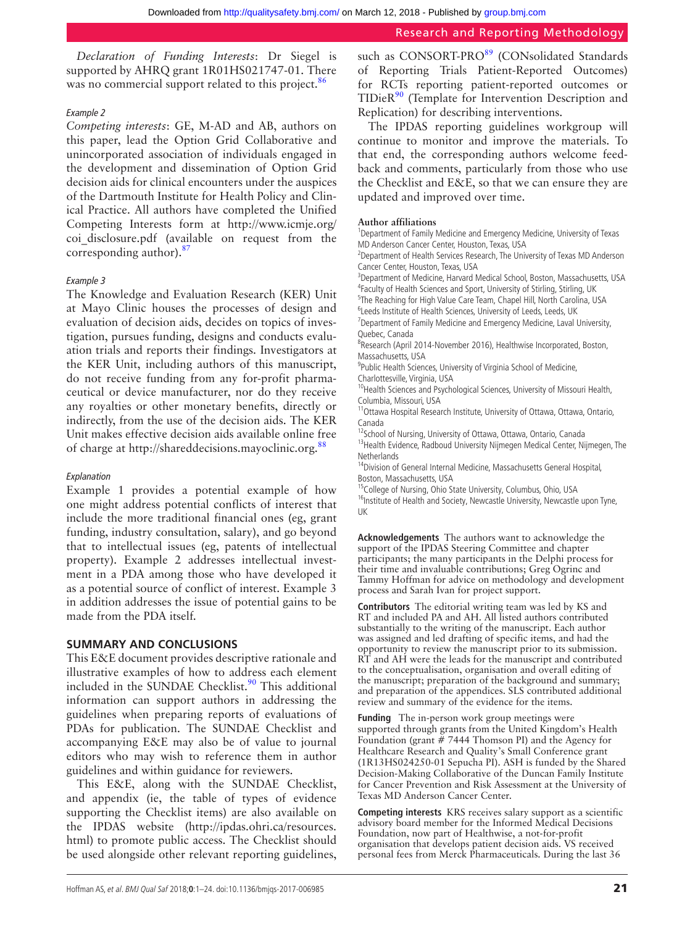*Declaration of Funding Interests*: Dr Siegel is supported by AHRQ grant 1R01HS021747-01. There was no commercial support related to this project.<sup>[86](#page-24-23)</sup>

### *Example 2*

*Competing interests*: GE, M-AD and AB, authors on this paper, lead the Option Grid Collaborative and unincorporated association of individuals engaged in the development and dissemination of Option Grid decision aids for clinical encounters under the auspices of the Dartmouth Institute for Health Policy and Clinical Practice. All authors have completed the Unified Competing Interests form at [http://www.icmje.org/](http://www.icmje.org/coi_disclosure.pdf) coi disclosure.pdf (available on request from the corresponding author).<sup>[87](#page-24-24)</sup>

### *Example 3*

The Knowledge and Evaluation Research (KER) Unit at Mayo Clinic houses the processes of design and evaluation of decision aids, decides on topics of investigation, pursues funding, designs and conducts evaluation trials and reports their findings. Investigators at the KER Unit, including authors of this manuscript, do not receive funding from any for-profit pharmaceutical or device manufacturer, nor do they receive any royalties or other monetary benefits, directly or indirectly, from the use of the decision aids. The KER Unit makes effective decision aids available online free of charge at<http://shareddecisions.mayoclinic.org.><sup>[88](#page-24-25)</sup>

#### *Explanation*

Example 1 provides a potential example of how one might address potential conflicts of interest that include the more traditional financial ones (eg, grant funding, industry consultation, salary), and go beyond that to intellectual issues (eg, patents of intellectual property). Example 2 addresses intellectual investment in a PDA among those who have developed it as a potential source of conflict of interest. Example 3 in addition addresses the issue of potential gains to be made from the PDA itself.

## **Summary and Conclusions**

This E&E document provides descriptive rationale and illustrative examples of how to address each element included in the SUNDAE Checklist. $90$  This additional information can support authors in addressing the guidelines when preparing reports of evaluations of PDAs for publication. The SUNDAE Checklist and accompanying E&E may also be of value to journal editors who may wish to reference them in author guidelines and within guidance for reviewers.

This E&E, along with the SUNDAE Checklist, and appendix (ie, the table of types of evidence supporting the Checklist items) are also available on the IPDAS website ([http://ipdas.ohri.ca/resources.](http://ipdas.ohri.ca/resources.html) [html\)](http://ipdas.ohri.ca/resources.html) to promote public access. The Checklist should be used alongside other relevant reporting guidelines,

such as CONSORT-PRO<sup>89</sup> (CONsolidated Standards of Reporting Trials Patient-Reported Outcomes) for RCTs reporting patient-reported outcomes or TIDieR<sup>[90](#page-24-26)</sup> (Template for Intervention Description and Replication) for describing interventions.

The IPDAS reporting guidelines workgroup will continue to monitor and improve the materials. To that end, the corresponding authors welcome feedback and comments, particularly from those who use the Checklist and E&E, so that we can ensure they are updated and improved over time.

### **Author affiliations**

<sup>1</sup>Department of Family Medicine and Emergency Medicine, University of Texas MD Anderson Cancer Center, Houston, Texas, USA

<sup>2</sup> Department of Health Services Research, The University of Texas MD Anderson Cancer Center, Houston, Texas, USA

<sup>3</sup>Department of Medicine, Harvard Medical School, Boston, Massachusetts, USA <sup>4</sup> Faculty of Health Sciences and Sport, University of Stirling, Stirling, UK <sup>5</sup>The Reaching for High Value Care Team, Chapel Hill, North Carolina, USA

<sup>6</sup>Leeds Institute of Health Sciences, University of Leeds, Leeds, UK <sup>7</sup> Department of Family Medicine and Emergency Medicine, Laval University, Quebec, Canada

<sup>8</sup>Research (April 2014-November 2016), Healthwise Incorporated, Boston, Massachusetts, USA

<sup>9</sup>Public Health Sciences, University of Virginia School of Medicine, Charlottesville, Virginia, USA

<sup>10</sup>Health Sciences and Psychological Sciences, University of Missouri Health, Columbia, Missouri, USA

<sup>11</sup>Ottawa Hospital Research Institute, University of Ottawa, Ottawa, Ontario, Canada

<sup>12</sup>School of Nursing, University of Ottawa, Ottawa, Ontario, Canada <sup>13</sup>Health Evidence, Radboud University Nijmegen Medical Center, Nijmegen, The **Netherlands** 

<sup>14</sup>Division of General Internal Medicine, Massachusetts General Hospital, Boston, Massachusetts, USA

<sup>15</sup>College of Nursing, Ohio State University, Columbus, Ohio, USA <sup>16</sup>Institute of Health and Society, Newcastle University, Newcastle upon Tyne, UK

**Acknowledgements** The authors want to acknowledge the support of the IPDAS Steering Committee and chapter participants; the many participants in the Delphi process for their time and invaluable contributions; Greg Ogrinc and Tammy Hoffman for advice on methodology and development process and Sarah Ivan for project support.

**Contributors** The editorial writing team was led by KS and RT and included PA and AH. All listed authors contributed substantially to the writing of the manuscript. Each author was assigned and led drafting of specific items, and had the opportunity to review the manuscript prior to its submission. RT and AH were the leads for the manuscript and contributed to the conceptualisation, organisation and overall editing of the manuscript; preparation of the background and summary; and preparation of the appendices. SLS contributed additional review and summary of the evidence for the items.

**Funding** The in-person work group meetings were supported through grants from the United Kingdom's Health Foundation (grant  $\ddot{\#}$  7444 Thomson PI) and the Agency for Healthcare Research and Quality's Small Conference grant (1R13HS024250-01 Sepucha PI). ASH is funded by the Shared Decision-Making Collaborative of the Duncan Family Institute for Cancer Prevention and Risk Assessment at the University of Texas MD Anderson Cancer Center.

**Competing interests** KRS receives salary support as a scientific advisory board member for the Informed Medical Decisions Foundation, now part of Healthwise, a not-for-profit organisation that develops patient decision aids. VS received personal fees from Merck Pharmaceuticals. During the last 36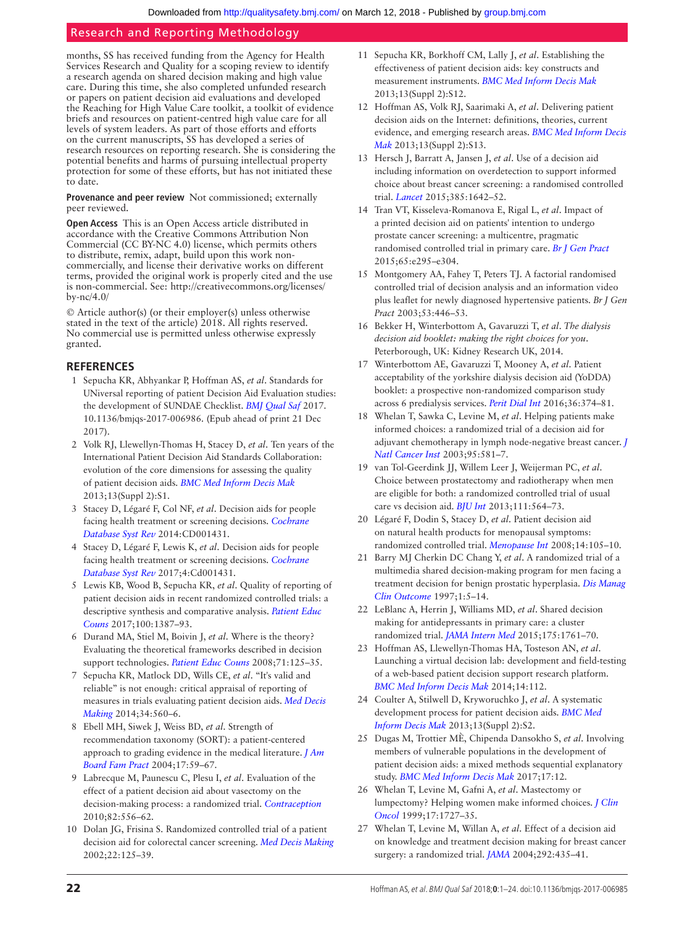months, SS has received funding from the Agency for Health Services Research and Quality for a scoping review to identify a research agenda on shared decision making and high value care. During this time, she also completed unfunded research or papers on patient decision aid evaluations and developed the Reaching for High Value Care toolkit, a toolkit of evidence briefs and resources on patient-centred high value care for all levels of system leaders. As part of those efforts and efforts on the current manuscripts, SS has developed a series of research resources on reporting research. She is considering the potential benefits and harms of pursuing intellectual property protection for some of these efforts, but has not initiated these to date.

#### **Provenance and peer review** Not commissioned; externally peer reviewed.

**Open Access** This is an Open Access article distributed in accordance with the Creative Commons Attribution Non Commercial (CC BY-NC 4.0) license, which permits others to distribute, remix, adapt, build upon this work noncommercially, and license their derivative works on different terms, provided the original work is properly cited and the use is non-commercial. See: [http://creativecommons.org/licenses/](http://creativecommons.org/licenses/by-nc/4.0/) by- $nc/4.0/$ 

© Article author(s) (or their employer(s) unless otherwise stated in the text of the article) 2018. All rights reserved. No commercial use is permitted unless otherwise expressly granted.

## **References**

- <span id="page-22-0"></span>1 Sepucha KR, Abhyankar P, Hoffman AS, *et al*. Standards for UNiversal reporting of patient Decision Aid Evaluation studies: the development of SUNDAE Checklist. *[BMJ Qual Saf](http://dx.doi.org/10.1136/bmjqs-2017-006986)* 2017. 10.1136/bmjqs-2017-006986. (Epub ahead of print 21 Dec 2017).
- <span id="page-22-1"></span>2 Volk RJ, Llewellyn-Thomas H, Stacey D, *et al*. Ten years of the International Patient Decision Aid Standards Collaboration: evolution of the core dimensions for assessing the quality of patient decision aids. *[BMC Med Inform Decis Mak](http://dx.doi.org/10.1186/1472-6947-13-S2-S1)* 2013;13(Suppl 2):S1.
- <span id="page-22-2"></span>3 Stacey D, Légaré F, Col NF, *et al*. Decision aids for people facing health treatment or screening decisions. *[Cochrane](http://dx.doi.org/10.1002/14651858.CD001431.pub4)  [Database Syst Rev](http://dx.doi.org/10.1002/14651858.CD001431.pub4)* 2014:CD001431.
- <span id="page-22-4"></span>4 Stacey D, Légaré F, Lewis K, *et al*. Decision aids for people facing health treatment or screening decisions. *[Cochrane](http://dx.doi.org/10.1002/14651858.CD001431.pub5)  [Database Syst Rev](http://dx.doi.org/10.1002/14651858.CD001431.pub5)* 2017;4:Cd001431.
- <span id="page-22-23"></span>5 Lewis KB, Wood B, Sepucha KR, *et al*. Quality of reporting of patient decision aids in recent randomized controlled trials: a descriptive synthesis and comparative analysis. *[Patient Educ](http://dx.doi.org/10.1016/j.pec.2017.02.021)  [Couns](http://dx.doi.org/10.1016/j.pec.2017.02.021)* 2017;100:1387–93.
- 6 Durand MA, Stiel M, Boivin J, *et al*. Where is the theory? Evaluating the theoretical frameworks described in decision support technologies. *[Patient Educ Couns](http://dx.doi.org/10.1016/j.pec.2007.12.004)* 2008;71:125–35.
- <span id="page-22-25"></span>7 Sepucha KR, Matlock DD, Wills CE, *et al*. "It's valid and reliable" is not enough: critical appraisal of reporting of measures in trials evaluating patient decision aids. *[Med Decis](http://dx.doi.org/10.1177/0272989X14528381)  [Making](http://dx.doi.org/10.1177/0272989X14528381)* 2014;34:560–6.
- <span id="page-22-3"></span>8 Ebell MH, Siwek J, Weiss BD, *et al*. Strength of recommendation taxonomy (SORT): a patient-centered approach to grading evidence in the medical literature. *[J Am](http://dx.doi.org/10.3122/jabfm.17.1.59)  [Board Fam Pract](http://dx.doi.org/10.3122/jabfm.17.1.59)* 2004;17:59–67.
- <span id="page-22-5"></span>9 Labrecque M, Paunescu C, Plesu I, *et al*. Evaluation of the effect of a patient decision aid about vasectomy on the decision-making process: a randomized trial. *[Contraception](http://dx.doi.org/10.1016/j.contraception.2010.05.003)* 2010;82:556–62.
- <span id="page-22-6"></span>10 Dolan JG, Frisina S. Randomized controlled trial of a patient decision aid for colorectal cancer screening. *[Med Decis Making](http://dx.doi.org/10.1177/02729890222063017)* 2002;22:125–39.
- <span id="page-22-7"></span>11 Sepucha KR, Borkhoff CM, Lally J, *et al*. Establishing the effectiveness of patient decision aids: key constructs and measurement instruments. *[BMC Med Inform Decis Mak](http://dx.doi.org/10.1186/1472-6947-13-S2-S12)* 2013;13(Suppl 2):S12.
- <span id="page-22-24"></span>12 Hoffman AS, Volk RJ, Saarimaki A, *et al*. Delivering patient decision aids on the Internet: definitions, theories, current evidence, and emerging research areas. *[BMC Med Inform Decis](http://dx.doi.org/10.1186/1472-6947-13-S2-S13)  [Mak](http://dx.doi.org/10.1186/1472-6947-13-S2-S13)* 2013;13(Suppl 2):S13.
- <span id="page-22-8"></span>13 Hersch J, Barratt A, Jansen J, *et al*. Use of a decision aid including information on overdetection to support informed choice about breast cancer screening: a randomised controlled trial. *[Lancet](http://dx.doi.org/10.1016/S0140-6736(15)60123-4)* 2015;385:1642–52.
- <span id="page-22-9"></span>14 Tran VT, Kisseleva-Romanova E, Rigal L, *et al*. Impact of a printed decision aid on patients' intention to undergo prostate cancer screening: a multicentre, pragmatic randomised controlled trial in primary care. *[Br J Gen Pract](http://dx.doi.org/10.3399/bjgp15X684817)* 2015;65:e295–e304.
- <span id="page-22-10"></span>15 Montgomery AA, Fahey T, Peters TJ. A factorial randomised controlled trial of decision analysis and an information video plus leaflet for newly diagnosed hypertensive patients. *Br J Gen Pract* 2003;53:446–53.
- <span id="page-22-11"></span>16 Bekker H, Winterbottom A, Gavaruzzi T, *et al*. *The dialysis decision aid booklet: making the right choices for you*. Peterborough, UK: Kidney Research UK, 2014.
- <span id="page-22-12"></span>17 Winterbottom AE, Gavaruzzi T, Mooney A, *et al*. Patient acceptability of the yorkshire dialysis decision aid (YoDDA) booklet: a prospective non-randomized comparison study across 6 predialysis services. *[Perit Dial Int](http://dx.doi.org/10.3747/pdi.2014.00274)* 2016;36:374–81.
- <span id="page-22-13"></span>18 Whelan T, Sawka C, Levine M, *et al*. Helping patients make informed choices: a randomized trial of a decision aid for adjuvant chemotherapy in lymph node-negative breast cancer. *[J](http://dx.doi.org/10.1093/jnci/95.8.581) [Natl Cancer Inst](http://dx.doi.org/10.1093/jnci/95.8.581)* 2003;95:581–7.
- <span id="page-22-14"></span>19 van Tol-Geerdink JJ, Willem Leer J, Weijerman PC, *et al*. Choice between prostatectomy and radiotherapy when men are eligible for both: a randomized controlled trial of usual care vs decision aid. *[BJU Int](http://dx.doi.org/10.1111/j.1464-410X.2012.11402.x)* 2013;111:564–73.
- <span id="page-22-15"></span>20 Légaré F, Dodin S, Stacey D, *et al*. Patient decision aid on natural health products for menopausal symptoms: randomized controlled trial. *[Menopause Int](http://dx.doi.org/10.1258/mi.2008.008014)* 2008;14:105–10.
- <span id="page-22-16"></span>21 Barry MJ Cherkin DC Chang Y, *et al*. A randomized trial of a multimedia shared decision-making program for men facing a treatment decision for benign prostatic hyperplasia. *[Dis Manag](http://dx.doi.org/10.1016/S1088-3371(96)00004-6)  [Clin Outcome](http://dx.doi.org/10.1016/S1088-3371(96)00004-6)* 1997;1:5–14.
- <span id="page-22-17"></span>22 LeBlanc A, Herrin J, Williams MD, *et al*. Shared decision making for antidepressants in primary care: a cluster randomized trial. *[JAMA Intern Med](http://dx.doi.org/10.1001/jamainternmed.2015.5214)* 2015;175:1761–70.
- <span id="page-22-18"></span>23 Hoffman AS, Llewellyn-Thomas HA, Tosteson AN, *et al*. Launching a virtual decision lab: development and field-testing of a web-based patient decision support research platform. *[BMC Med Inform Decis Mak](http://dx.doi.org/10.1186/s12911-014-0112-8)* 2014;14:112.
- <span id="page-22-19"></span>24 Coulter A, Stilwell D, Kryworuchko J, *et al*. A systematic development process for patient decision aids. *[BMC Med](http://dx.doi.org/10.1186/1472-6947-13-S2-S2)  [Inform Decis Mak](http://dx.doi.org/10.1186/1472-6947-13-S2-S2)* 2013;13(Suppl 2):S2.
- <span id="page-22-20"></span>25 Dugas M, Trottier MÈ, Chipenda Dansokho S, *et al*. Involving members of vulnerable populations in the development of patient decision aids: a mixed methods sequential explanatory study. *[BMC Med Inform Decis Mak](http://dx.doi.org/10.1186/s12911-016-0399-8)* 2017;17:12.
- <span id="page-22-21"></span>26 Whelan T, Levine M, Gafni A, *et al*. Mastectomy or lumpectomy? Helping women make informed choices. *[J Clin](http://dx.doi.org/10.1200/JCO.1999.17.6.1727)  [Oncol](http://dx.doi.org/10.1200/JCO.1999.17.6.1727)* 1999;17:1727–35.
- <span id="page-22-22"></span>27 Whelan T, Levine M, Willan A, *et al*. Effect of a decision aid on knowledge and treatment decision making for breast cancer surgery: a randomized trial. *[JAMA](http://dx.doi.org/10.1001/jama.292.4.435)* 2004;292:435–41.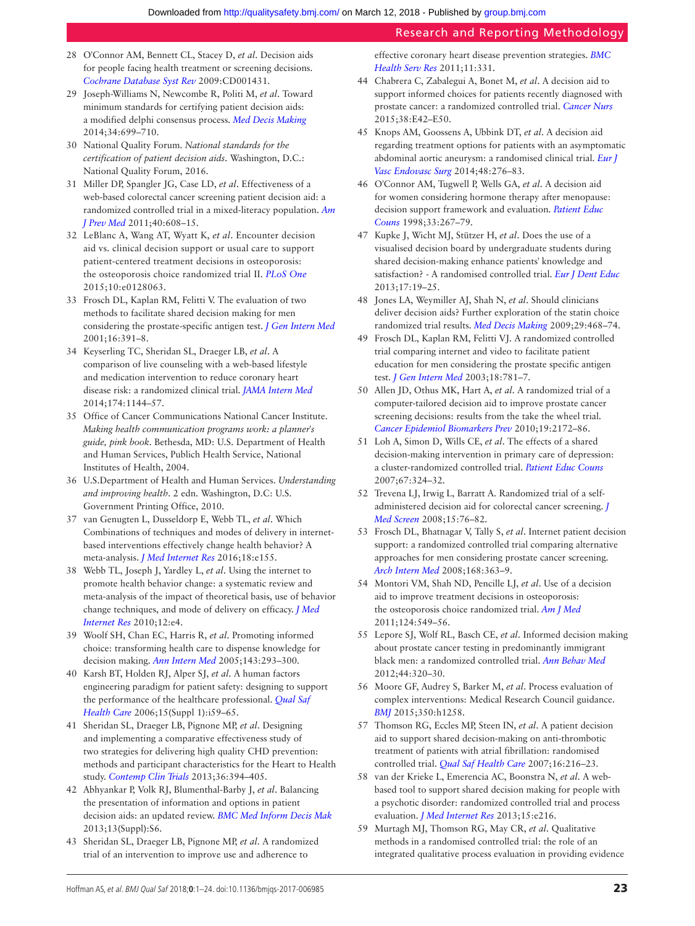- <span id="page-23-0"></span>28 O'Connor AM, Bennett CL, Stacey D, *et al*. Decision aids for people facing health treatment or screening decisions. *[Cochrane Database Syst Rev](http://dx.doi.org/10.1002/14651858.CD001431.pub2)* 2009:CD001431.
- <span id="page-23-6"></span>29 Joseph-Williams N, Newcombe R, Politi M, *et al*. Toward minimum standards for certifying patient decision aids: a modified delphi consensus process. *[Med Decis Making](http://dx.doi.org/10.1177/0272989X13501721)* 2014;34:699–710.
- 30 National Quality Forum. *National standards for the certification of patient decision aids*. Washington, D.C.: National Quality Forum, 2016.
- <span id="page-23-1"></span>31 Miller DP, Spangler JG, Case LD, *et al*. Effectiveness of a web-based colorectal cancer screening patient decision aid: a randomized controlled trial in a mixed-literacy population. *[Am](http://dx.doi.org/10.1016/j.amepre.2011.02.019)  [J Prev Med](http://dx.doi.org/10.1016/j.amepre.2011.02.019)* 2011;40:608–15.
- <span id="page-23-2"></span>32 LeBlanc A, Wang AT, Wyatt K, *et al*. Encounter decision aid vs. clinical decision support or usual care to support patient-centered treatment decisions in osteoporosis: the osteoporosis choice randomized trial II. *[PLoS One](http://dx.doi.org/10.1371/journal.pone.0128063)* 2015;10:e0128063.
- <span id="page-23-3"></span>33 Frosch DL, Kaplan RM, Felitti V. The evaluation of two methods to facilitate shared decision making for men considering the prostate-specific antigen test. *[J Gen Intern Med](http://dx.doi.org/10.1046/j.1525-1497.2001.016006391.x)* 2001;16:391–8.
- 34 Keyserling TC, Sheridan SL, Draeger LB, *et al*. A comparison of live counseling with a web-based lifestyle and medication intervention to reduce coronary heart disease risk: a randomized clinical trial. *[JAMA Intern Med](http://dx.doi.org/10.1001/jamainternmed.2014.1984)* 2014;174:1144–57.
- 35 Office of Cancer Communications National Cancer Institute. *Making health communication programs work: a planner's guide, pink book*. Bethesda, MD: U.S. Department of Health and Human Services, Publich Health Service, National Institutes of Health, 2004.
- 36 U.S.Department of Health and Human Services. *Understanding and improving health*. 2 edn. Washington, D.C: U.S. Government Printing Office, 2010.
- 37 van Genugten L, Dusseldorp E, Webb TL, *et al*. Which Combinations of techniques and modes of delivery in internetbased interventions effectively change health behavior? A meta-analysis. *[J Med Internet Res](http://dx.doi.org/10.2196/jmir.4218)* 2016;18:e155.
- 38 Webb TL, Joseph J, Yardley L, *et al*. Using the internet to promote health behavior change: a systematic review and meta-analysis of the impact of theoretical basis, use of behavior change techniques, and mode of delivery on efficacy. *[J Med](http://dx.doi.org/10.2196/jmir.1376)  [Internet Res](http://dx.doi.org/10.2196/jmir.1376)* 2010;12:e4.
- 39 Woolf SH, Chan EC, Harris R, *et al*. Promoting informed choice: transforming health care to dispense knowledge for decision making. *[Ann Intern Med](http://dx.doi.org/10.7326/0003-4819-143-4-200508160-00010)* 2005;143:293–300.
- 40 Karsh BT, Holden RJ, Alper SJ, *et al*. A human factors engineering paradigm for patient safety: designing to support the performance of the healthcare professional. *[Qual Saf](http://dx.doi.org/10.1136/qshc.2005.015974)  [Health Care](http://dx.doi.org/10.1136/qshc.2005.015974)* 2006;15(Suppl 1):i59–65.
- <span id="page-23-4"></span>41 Sheridan SL, Draeger LB, Pignone MP, *et al*. Designing and implementing a comparative effectiveness study of two strategies for delivering high quality CHD prevention: methods and participant characteristics for the Heart to Health study. *[Contemp Clin Trials](http://dx.doi.org/10.1016/j.cct.2013.07.013)* 2013;36:394–405.
- <span id="page-23-5"></span>42 Abhyankar P, Volk RJ, Blumenthal-Barby J, *et al*. Balancing the presentation of information and options in patient decision aids: an updated review. *[BMC Med Inform Decis Mak](http://dx.doi.org/10.1186/1472-6947-13-S2-S6)* 2013;13(Suppl):S6.
- <span id="page-23-7"></span>43 Sheridan SL, Draeger LB, Pignone MP, *et al*. A randomized trial of an intervention to improve use and adherence to

effective coronary heart disease prevention strategies. *[BMC](http://dx.doi.org/10.1186/1472-6963-11-331)  [Health Serv Res](http://dx.doi.org/10.1186/1472-6963-11-331)* 2011;11:331.

- <span id="page-23-8"></span>44 Chabrera C, Zabalegui A, Bonet M, *et al*. A decision aid to support informed choices for patients recently diagnosed with prostate cancer: a randomized controlled trial. *[Cancer Nurs](http://dx.doi.org/10.1097/NCC.0000000000000170)* 2015;38:E42–E50.
- <span id="page-23-9"></span>45 Knops AM, Goossens A, Ubbink DT, *et al*. A decision aid regarding treatment options for patients with an asymptomatic abdominal aortic aneurysm: a randomised clinical trial. *[Eur J](http://dx.doi.org/10.1016/j.ejvs.2014.04.016)  [Vasc Endovasc Surg](http://dx.doi.org/10.1016/j.ejvs.2014.04.016)* 2014;48:276–83.
- <span id="page-23-10"></span>46 O'Connor AM, Tugwell P, Wells GA, *et al*. A decision aid for women considering hormone therapy after menopause: decision support framework and evaluation. *[Patient Educ](http://dx.doi.org/10.1016/S0738-3991(98)00026-3)  [Couns](http://dx.doi.org/10.1016/S0738-3991(98)00026-3)* 1998;33:267–79.
- <span id="page-23-11"></span>47 Kupke J, Wicht MJ, Stützer H, *et al*. Does the use of a visualised decision board by undergraduate students during shared decision-making enhance patients' knowledge and satisfaction? - A randomised controlled trial. *[Eur J Dent Educ](http://dx.doi.org/10.1111/eje.12002)* 2013;17:19–25.
- <span id="page-23-12"></span>48 Jones LA, Weymiller AJ, Shah N, *et al*. Should clinicians deliver decision aids? Further exploration of the statin choice randomized trial results. *[Med Decis Making](http://dx.doi.org/10.1177/0272989X09333120)* 2009;29:468–74.
- <span id="page-23-13"></span>49 Frosch DL, Kaplan RM, Felitti VJ. A randomized controlled trial comparing internet and video to facilitate patient education for men considering the prostate specific antigen test. *[J Gen Intern Med](http://dx.doi.org/10.1046/j.1525-1497.2003.20911.x)* 2003;18:781–7.
- <span id="page-23-14"></span>50 Allen JD, Othus MK, Hart A, *et al*. A randomized trial of a computer-tailored decision aid to improve prostate cancer screening decisions: results from the take the wheel trial. *[Cancer Epidemiol Biomarkers Prev](http://dx.doi.org/10.1158/1055-9965.EPI-09-0410)* 2010;19:2172–86.
- <span id="page-23-15"></span>51 Loh A, Simon D, Wills CE, *et al*. The effects of a shared decision-making intervention in primary care of depression: a cluster-randomized controlled trial. *[Patient Educ Couns](http://dx.doi.org/10.1016/j.pec.2007.03.023)* 2007;67:324–32.
- <span id="page-23-16"></span>52 Trevena LJ, Irwig L, Barratt A. Randomized trial of a selfadministered decision aid for colorectal cancer screening. *[J](http://dx.doi.org/10.1258/jms.2008.007110)  [Med Screen](http://dx.doi.org/10.1258/jms.2008.007110)* 2008;15:76–82.
- <span id="page-23-17"></span>53 Frosch DL, Bhatnagar V, Tally S, *et al*. Internet patient decision support: a randomized controlled trial comparing alternative approaches for men considering prostate cancer screening. *[Arch Intern Med](http://dx.doi.org/10.1001/archinternmed.2007.111)* 2008;168:363–9.
- <span id="page-23-18"></span>54 Montori VM, Shah ND, Pencille LJ, *et al*. Use of a decision aid to improve treatment decisions in osteoporosis: the osteoporosis choice randomized trial. *[Am J Med](http://dx.doi.org/10.1016/j.amjmed.2011.01.013)* 2011;124:549–56.
- <span id="page-23-19"></span>55 Lepore SJ, Wolf RL, Basch CE, *et al*. Informed decision making about prostate cancer testing in predominantly immigrant black men: a randomized controlled trial. *[Ann Behav Med](http://dx.doi.org/10.1007/s12160-012-9392-3)* 2012;44:320–30.
- <span id="page-23-20"></span>56 Moore GF, Audrey S, Barker M, *et al*. Process evaluation of complex interventions: Medical Research Council guidance. *[BMJ](http://dx.doi.org/10.1136/bmj.h1258)* 2015;350:h1258.
- <span id="page-23-21"></span>57 Thomson RG, Eccles MP, Steen IN, *et al*. A patient decision aid to support shared decision-making on anti-thrombotic treatment of patients with atrial fibrillation: randomised controlled trial. *[Qual Saf Health Care](http://dx.doi.org/10.1136/qshc.2006.018481)* 2007;16:216–23.
- <span id="page-23-22"></span>58 van der Krieke L, Emerencia AC, Boonstra N, *et al*. A webbased tool to support shared decision making for people with a psychotic disorder: randomized controlled trial and process evaluation. *[J Med Internet Res](http://dx.doi.org/10.2196/jmir.2851)* 2013;15:e216.
- <span id="page-23-23"></span>59 Murtagh MJ, Thomson RG, May CR, *et al*. Qualitative methods in a randomised controlled trial: the role of an integrated qualitative process evaluation in providing evidence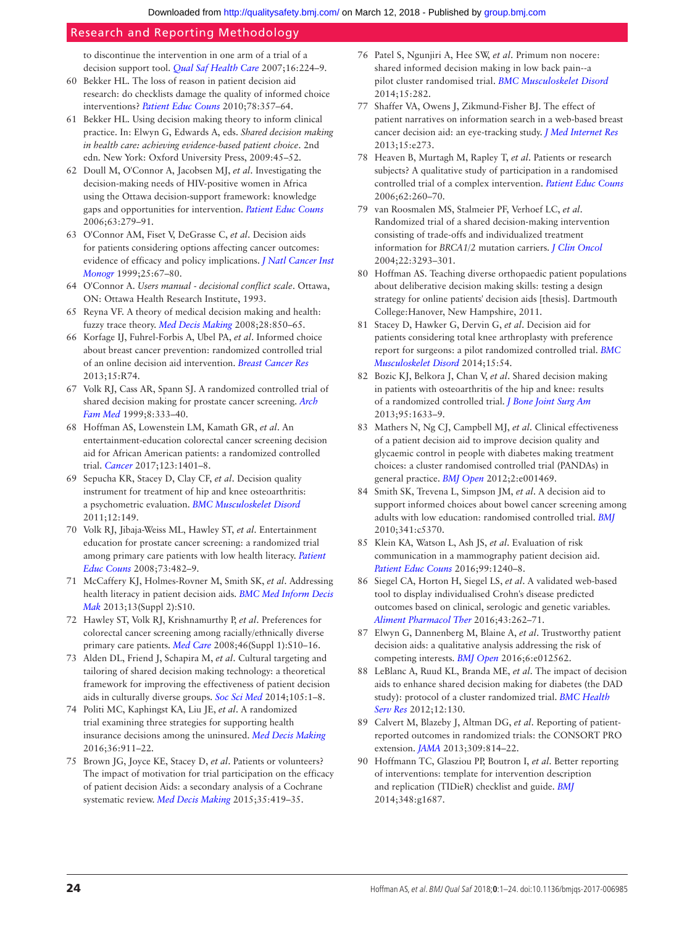to discontinue the intervention in one arm of a trial of a decision support tool. *[Qual Saf Health Care](http://dx.doi.org/10.1136/qshc.2006.018499)* 2007;16:224–9.

- <span id="page-24-0"></span>60 Bekker HL. The loss of reason in patient decision aid research: do checklists damage the quality of informed choice interventions? *[Patient Educ Couns](http://dx.doi.org/10.1016/j.pec.2010.01.002)* 2010;78:357–64.
- <span id="page-24-1"></span>61 Bekker HL. Using decision making theory to inform clinical practice. In: Elwyn G, Edwards A, eds. *Shared decision making in health care: achieving evidence-based patient choice*. 2nd edn. New York: Oxford University Press, 2009:45–52.
- <span id="page-24-2"></span>62 Doull M, O'Connor A, Jacobsen MJ, *et al*. Investigating the decision-making needs of HIV-positive women in Africa using the Ottawa decision-support framework: knowledge gaps and opportunities for intervention. *[Patient Educ Couns](http://dx.doi.org/10.1016/j.pec.2006.06.020)* 2006;63:279–91.
- <span id="page-24-3"></span>63 O'Connor AM, Fiset V, DeGrasse C, *et al*. Decision aids for patients considering options affecting cancer outcomes: evidence of efficacy and policy implications. *[J Natl Cancer Inst](http://dx.doi.org/10.1093/oxfordjournals.jncimonographs.a024212)  [Monogr](http://dx.doi.org/10.1093/oxfordjournals.jncimonographs.a024212)* 1999;25:67–80.
- <span id="page-24-4"></span>64 O'Connor A. *Users manual - decisional conflict scale*. Ottawa, ON: Ottawa Health Research Institute, 1993.
- <span id="page-24-5"></span>65 Reyna VF. A theory of medical decision making and health: fuzzy trace theory. *[Med Decis Making](http://dx.doi.org/10.1177/0272989X08327066)* 2008;28:850–65.
- <span id="page-24-6"></span>66 Korfage IJ, Fuhrel-Forbis A, Ubel PA, *et al*. Informed choice about breast cancer prevention: randomized controlled trial of an online decision aid intervention. *[Breast Cancer Res](http://dx.doi.org/10.1186/bcr3468)* 2013;15:R74.
- <span id="page-24-7"></span>67 Volk RJ, Cass AR, Spann SJ. A randomized controlled trial of shared decision making for prostate cancer screening. *[Arch](http://dx.doi.org/10.1001/archfami.8.4.333)  [Fam Med](http://dx.doi.org/10.1001/archfami.8.4.333)* 1999;8:333–40.
- <span id="page-24-8"></span>68 Hoffman AS, Lowenstein LM, Kamath GR, *et al*. An entertainment-education colorectal cancer screening decision aid for African American patients: a randomized controlled trial. *[Cancer](http://dx.doi.org/10.1002/cncr.30489)* 2017;123:1401–8.
- <span id="page-24-9"></span>69 Sepucha KR, Stacey D, Clay CF, *et al*. Decision quality instrument for treatment of hip and knee osteoarthritis: a psychometric evaluation. *[BMC Musculoskelet Disord](http://dx.doi.org/10.1186/1471-2474-12-149)* 2011;12:149.
- <span id="page-24-10"></span>70 Volk RJ, Jibaja-Weiss ML, Hawley ST, *et al*. Entertainment education for prostate cancer screening: a randomized trial among primary care patients with low health literacy. *[Patient](http://dx.doi.org/10.1016/j.pec.2008.07.033)  [Educ Couns](http://dx.doi.org/10.1016/j.pec.2008.07.033)* 2008;73:482–9.
- <span id="page-24-11"></span>71 McCaffery KJ, Holmes-Rovner M, Smith SK, *et al*. Addressing health literacy in patient decision aids. *[BMC Med Inform Decis](http://dx.doi.org/10.1186/1472-6947-13-S2-S10)  [Mak](http://dx.doi.org/10.1186/1472-6947-13-S2-S10)* 2013;13(Suppl 2):S10.
- 72 Hawley ST, Volk RJ, Krishnamurthy P, *et al*. Preferences for colorectal cancer screening among racially/ethnically diverse primary care patients. *[Med Care](http://dx.doi.org/10.1097/MLR.0b013e31817d932e)* 2008;46(Suppl 1):S10–16.
- 73 Alden DL, Friend J, Schapira M, *et al*. Cultural targeting and tailoring of shared decision making technology: a theoretical framework for improving the effectiveness of patient decision aids in culturally diverse groups. *[Soc Sci Med](http://dx.doi.org/10.1016/j.socscimed.2014.01.002)* 2014;105:1–8.
- <span id="page-24-12"></span>74 Politi MC, Kaphingst KA, Liu JE, *et al*. A randomized trial examining three strategies for supporting health insurance decisions among the uninsured. *[Med Decis Making](http://dx.doi.org/10.1177/0272989X15578635)* 2016;36:911–22.
- <span id="page-24-13"></span>75 Brown JG, Joyce KE, Stacey D, *et al*. Patients or volunteers? The impact of motivation for trial participation on the efficacy of patient decision Aids: a secondary analysis of a Cochrane systematic review. *[Med Decis Making](http://dx.doi.org/10.1177/0272989X15579172)* 2015;35:419–35.
- <span id="page-24-14"></span>76 Patel S, Ngunjiri A, Hee SW, *et al*. Primum non nocere: shared informed decision making in low back pain--a pilot cluster randomised trial. *[BMC Musculoskelet Disord](http://dx.doi.org/10.1186/1471-2474-15-282)* 2014;15:282.
- <span id="page-24-15"></span>77 Shaffer VA, Owens J, Zikmund-Fisher BJ. The effect of patient narratives on information search in a web-based breast cancer decision aid: an eye-tracking study. *[J Med Internet Res](http://dx.doi.org/10.2196/jmir.2784)* 2013;15:e273.
- 78 Heaven B, Murtagh M, Rapley T, *et al*. Patients or research subjects? A qualitative study of participation in a randomised controlled trial of a complex intervention. *[Patient Educ Couns](http://dx.doi.org/10.1016/j.pec.2005.07.013)* 2006;62:260–70.
- <span id="page-24-16"></span>79 van Roosmalen MS, Stalmeier PF, Verhoef LC, *et al*. Randomized trial of a shared decision-making intervention consisting of trade-offs and individualized treatment information for *BRCA1/2* mutation carriers. *[J Clin Oncol](http://dx.doi.org/10.1200/JCO.2004.05.066)* 2004;22:3293–301.
- <span id="page-24-17"></span>80 Hoffman AS. Teaching diverse orthopaedic patient populations about deliberative decision making skills: testing a design strategy for online patients' decision aids [thesis]. Dartmouth College:Hanover, New Hampshire, 2011.
- <span id="page-24-18"></span>81 Stacey D, Hawker G, Dervin G, *et al*. Decision aid for patients considering total knee arthroplasty with preference report for surgeons: a pilot randomized controlled trial. *[BMC](http://dx.doi.org/10.1186/1471-2474-15-54)  [Musculoskelet Disord](http://dx.doi.org/10.1186/1471-2474-15-54)* 2014;15:54.
- <span id="page-24-19"></span>82 Bozic KJ, Belkora J, Chan V, *et al*. Shared decision making in patients with osteoarthritis of the hip and knee: results of a randomized controlled trial. *[J Bone Joint Surg Am](http://dx.doi.org/10.2106/JBJS.M.00004)* 2013;95:1633–9.
- <span id="page-24-20"></span>83 Mathers N, Ng CJ, Campbell MJ, *et al*. Clinical effectiveness of a patient decision aid to improve decision quality and glycaemic control in people with diabetes making treatment choices: a cluster randomised controlled trial (PANDAs) in general practice. *[BMJ Open](http://dx.doi.org/10.1136/bmjopen-2012-001469)* 2012;2:e001469.
- <span id="page-24-21"></span>84 Smith SK, Trevena L, Simpson JM, *et al*. A decision aid to support informed choices about bowel cancer screening among adults with low education: randomised controlled trial. *[BMJ](http://dx.doi.org/10.1136/bmj.c5370)* 2010;341:c5370.
- <span id="page-24-22"></span>85 Klein KA, Watson L, Ash JS, *et al*. Evaluation of risk communication in a mammography patient decision aid. *[Patient Educ Couns](http://dx.doi.org/10.1016/j.pec.2016.02.013)* 2016;99:1240–8.
- <span id="page-24-23"></span>86 Siegel CA, Horton H, Siegel LS, *et al*. A validated web-based tool to display individualised Crohn's disease predicted outcomes based on clinical, serologic and genetic variables. *[Aliment Pharmacol Ther](http://dx.doi.org/10.1111/apt.13460)* 2016;43:262–71.
- <span id="page-24-24"></span>87 Elwyn G, Dannenberg M, Blaine A, *et al*. Trustworthy patient decision aids: a qualitative analysis addressing the risk of competing interests. *[BMJ Open](http://dx.doi.org/10.1136/bmjopen-2016-012562)* 2016;6:e012562.
- <span id="page-24-25"></span>88 LeBlanc A, Ruud KL, Branda ME, *et al*. The impact of decision aids to enhance shared decision making for diabetes (the DAD study): protocol of a cluster randomized trial. *[BMC Health](http://dx.doi.org/10.1186/1472-6963-12-130)  [Serv Res](http://dx.doi.org/10.1186/1472-6963-12-130)* 2012;12:130.
- <span id="page-24-27"></span>89 Calvert M, Blazeby J, Altman DG, *et al*. Reporting of patientreported outcomes in randomized trials: the CONSORT PRO extension. *[JAMA](http://dx.doi.org/10.1001/jama.2013.879)* 2013;309:814–22.
- <span id="page-24-26"></span>90 Hoffmann TC, Glasziou PP, Boutron I, *et al*. Better reporting of interventions: template for intervention description and replication (TIDieR) checklist and guide. *[BMJ](http://dx.doi.org/10.1136/bmj.g1687)* 2014;348:g1687.